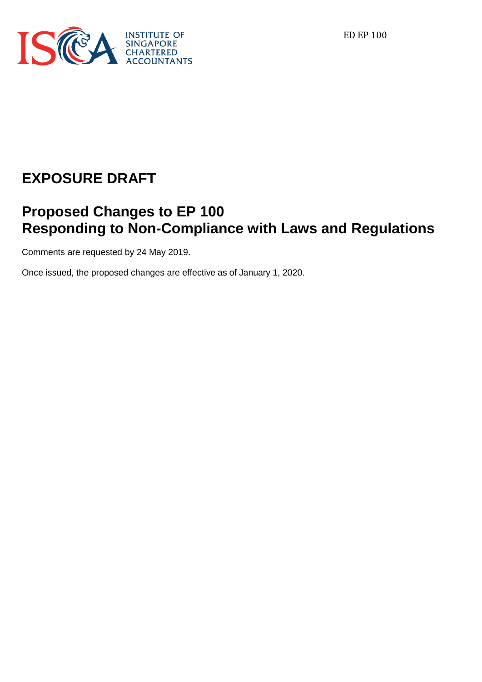

# **EXPOSURE DRAFT**

# **Proposed Changes to EP 100 Responding to Non-Compliance with Laws and Regulations**

Comments are requested by 24 May 2019.

Once issued, the proposed changes are effective as of January 1, 2020.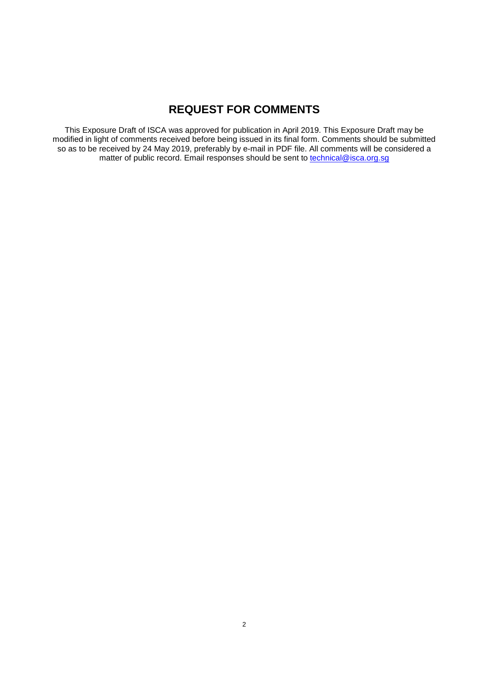## **REQUEST FOR COMMENTS**

This Exposure Draft of ISCA was approved for publication in April 2019. This Exposure Draft may be modified in light of comments received before being issued in its final form. Comments should be submitted so as to be received by 24 May 2019, preferably by e-mail in PDF file. All comments will be considered a matter of public record. Email responses should be sent to **[technical@isca.org.sg](mailto:technical@isca.org.sg)**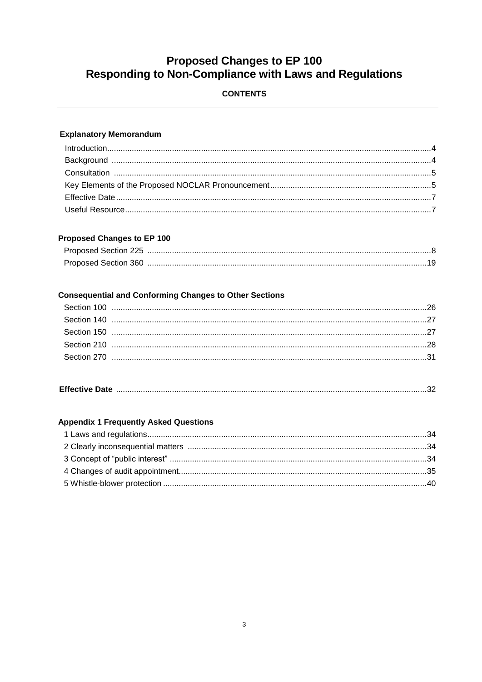## **Proposed Changes to EP 100** Responding to Non-Compliance with Laws and Regulations

## **CONTENTS**

## **Explanatory Memorandum**

## Proposed Changes to EP 100

## **Consequential and Conforming Changes to Other Sections**

|--|

## **Appendix 1 Frequently Asked Questions**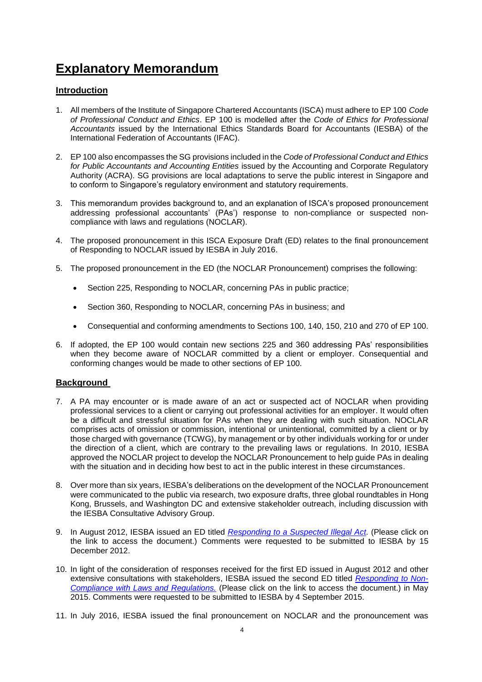## **Explanatory Memorandum**

## **Introduction**

- 1. All members of the Institute of Singapore Chartered Accountants (ISCA) must adhere to EP 100 *Code of Professional Conduct and Ethics*. EP 100 is modelled after the *Code of Ethics for Professional Accountants* issued by the International Ethics Standards Board for Accountants (IESBA) of the International Federation of Accountants (IFAC).
- 2. EP 100 also encompasses the SG provisions included in the *Code of Professional Conduct and Ethics for Public Accountants and Accounting Entities* issued by the Accounting and Corporate Regulatory Authority (ACRA). SG provisions are local adaptations to serve the public interest in Singapore and to conform to Singapore's regulatory environment and statutory requirements.
- 3. This memorandum provides background to, and an explanation of ISCA's proposed pronouncement addressing professional accountants' (PAs') response to non-compliance or suspected noncompliance with laws and regulations (NOCLAR).
- 4. The proposed pronouncement in this ISCA Exposure Draft (ED) relates to the final pronouncement of Responding to NOCLAR issued by IESBA in July 2016.
- 5. The proposed pronouncement in the ED (the NOCLAR Pronouncement) comprises the following:
	- Section 225, Responding to NOCLAR, concerning PAs in public practice;
	- Section 360, Responding to NOCLAR, concerning PAs in business; and
	- Consequential and conforming amendments to Sections 100, 140, 150, 210 and 270 of EP 100.
- 6. If adopted, the EP 100 would contain new sections 225 and 360 addressing PAs' responsibilities when they become aware of NOCLAR committed by a client or employer. Consequential and conforming changes would be made to other sections of EP 100.

## **Background**

- 7. A PA may encounter or is made aware of an act or suspected act of NOCLAR when providing professional services to a client or carrying out professional activities for an employer. It would often be a difficult and stressful situation for PAs when they are dealing with such situation. NOCLAR comprises acts of omission or commission, intentional or unintentional, committed by a client or by those charged with governance (TCWG), by management or by other individuals working for or under the direction of a client, which are contrary to the prevailing laws or regulations. In 2010, IESBA approved the NOCLAR project to develop the NOCLAR Pronouncement to help guide PAs in dealing with the situation and in deciding how best to act in the public interest in these circumstances.
- 8. Over more than six years, IESBA's deliberations on the development of the NOCLAR Pronouncement were communicated to the public via research, two exposure drafts, three global roundtables in Hong Kong, Brussels, and Washington DC and extensive stakeholder outreach, including discussion with the IESBA Consultative Advisory Group.
- 9. In August 2012, IESBA issued an ED titled *[Responding to a Suspected Illegal Act.](https://www.ifac.org/publications-resources/responding-suspected-illegal-act)* (Please click on the link to access the document.) Comments were requested to be submitted to IESBA by 15 December 2012.
- 10. In light of the consideration of responses received for the first ED issued in August 2012 and other extensive consultations with stakeholders, IESBA issued the second ED titled *[Responding to Non-](https://www.ifac.org/publications-resources/responding-non-compliance-laws-regulations)[Compliance with Laws and Regulations.](https://www.ifac.org/publications-resources/responding-non-compliance-laws-regulations)* (Please click on the link to access the document.) in May 2015. Comments were requested to be submitted to IESBA by 4 September 2015.
- 11. In July 2016, IESBA issued the final pronouncement on NOCLAR and the pronouncement was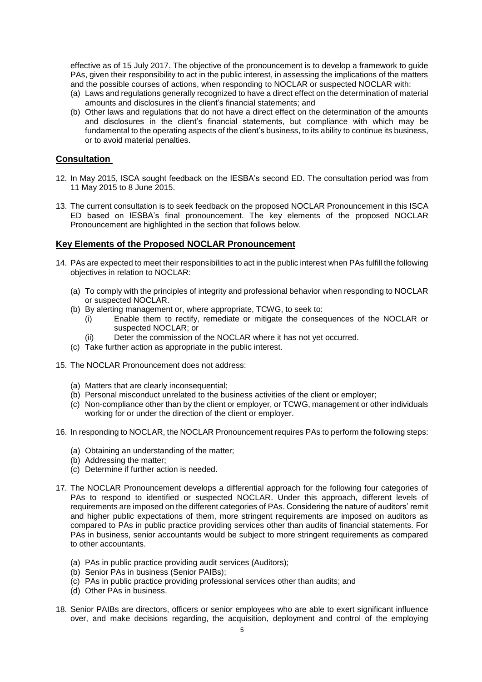effective as of 15 July 2017. The objective of the pronouncement is to develop a framework to guide PAs, given their responsibility to act in the public interest, in assessing the implications of the matters and the possible courses of actions, when responding to NOCLAR or suspected NOCLAR with:

- (a) Laws and regulations generally recognized to have a direct effect on the determination of material amounts and disclosures in the client's financial statements; and
- (b) Other laws and regulations that do not have a direct effect on the determination of the amounts and disclosures in the client's financial statements, but compliance with which may be fundamental to the operating aspects of the client's business, to its ability to continue its business, or to avoid material penalties.

## **Consultation**

- 12. In May 2015, ISCA sought feedback on the IESBA's second ED. The consultation period was from 11 May 2015 to 8 June 2015.
- 13. The current consultation is to seek feedback on the proposed NOCLAR Pronouncement in this ISCA ED based on IESBA's final pronouncement. The key elements of the proposed NOCLAR Pronouncement are highlighted in the section that follows below.

## **Key Elements of the Proposed NOCLAR Pronouncement**

- 14. PAs are expected to meet their responsibilities to act in the public interest when PAs fulfill the following objectives in relation to NOCLAR:
	- (a) To comply with the principles of integrity and professional behavior when responding to NOCLAR or suspected NOCLAR.
	- (b) By alerting management or, where appropriate, TCWG, to seek to:
		- (i) Enable them to rectify, remediate or mitigate the consequences of the NOCLAR or suspected NOCLAR; or
		- (ii) Deter the commission of the NOCLAR where it has not yet occurred.
	- (c) Take further action as appropriate in the public interest.
- 15. The NOCLAR Pronouncement does not address:
	- (a) Matters that are clearly inconsequential;
	- (b) Personal misconduct unrelated to the business activities of the client or employer;
	- (c) Non-compliance other than by the client or employer, or TCWG, management or other individuals working for or under the direction of the client or employer.
- 16. In responding to NOCLAR, the NOCLAR Pronouncement requires PAs to perform the following steps:
	- (a) Obtaining an understanding of the matter;
	- (b) Addressing the matter;
	- (c) Determine if further action is needed.
- 17. The NOCLAR Pronouncement develops a differential approach for the following four categories of PAs to respond to identified or suspected NOCLAR. Under this approach, different levels of requirements are imposed on the different categories of PAs. Considering the nature of auditors' remit and higher public expectations of them, more stringent requirements are imposed on auditors as compared to PAs in public practice providing services other than audits of financial statements. For PAs in business, senior accountants would be subject to more stringent requirements as compared to other accountants.
	- (a) PAs in public practice providing audit services (Auditors);
	- (b) Senior PAs in business (Senior PAIBs);
	- (c) PAs in public practice providing professional services other than audits; and
	- (d) Other PAs in business.
- 18. Senior PAIBs are directors, officers or senior employees who are able to exert significant influence over, and make decisions regarding, the acquisition, deployment and control of the employing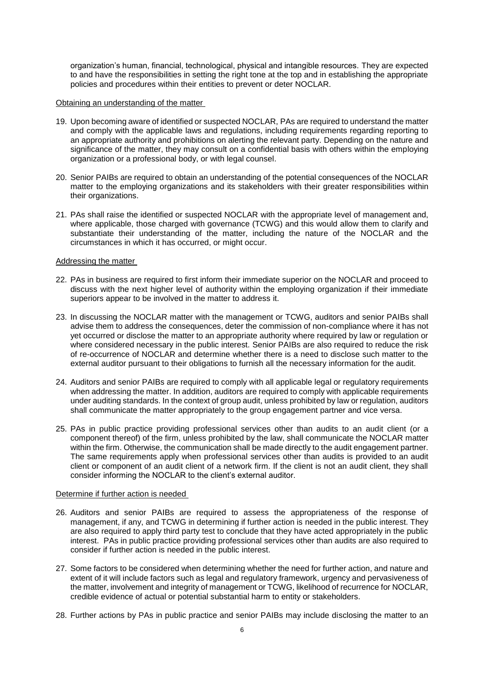organization's human, financial, technological, physical and intangible resources. They are expected to and have the responsibilities in setting the right tone at the top and in establishing the appropriate policies and procedures within their entities to prevent or deter NOCLAR.

#### Obtaining an understanding of the matter

- 19. Upon becoming aware of identified or suspected NOCLAR, PAs are required to understand the matter and comply with the applicable laws and regulations, including requirements regarding reporting to an appropriate authority and prohibitions on alerting the relevant party. Depending on the nature and significance of the matter, they may consult on a confidential basis with others within the employing organization or a professional body, or with legal counsel.
- 20. Senior PAIBs are required to obtain an understanding of the potential consequences of the NOCLAR matter to the employing organizations and its stakeholders with their greater responsibilities within their organizations.
- 21. PAs shall raise the identified or suspected NOCLAR with the appropriate level of management and, where applicable, those charged with governance (TCWG) and this would allow them to clarify and substantiate their understanding of the matter, including the nature of the NOCLAR and the circumstances in which it has occurred, or might occur.

#### Addressing the matter

- 22. PAs in business are required to first inform their immediate superior on the NOCLAR and proceed to discuss with the next higher level of authority within the employing organization if their immediate superiors appear to be involved in the matter to address it.
- 23. In discussing the NOCLAR matter with the management or TCWG, auditors and senior PAIBs shall advise them to address the consequences, deter the commission of non-compliance where it has not yet occurred or disclose the matter to an appropriate authority where required by law or regulation or where considered necessary in the public interest. Senior PAIBs are also required to reduce the risk of re-occurrence of NOCLAR and determine whether there is a need to disclose such matter to the external auditor pursuant to their obligations to furnish all the necessary information for the audit.
- 24. Auditors and senior PAIBs are required to comply with all applicable legal or regulatory requirements when addressing the matter. In addition, auditors are required to comply with applicable requirements under auditing standards. In the context of group audit, unless prohibited by law or regulation, auditors shall communicate the matter appropriately to the group engagement partner and vice versa.
- 25. PAs in public practice providing professional services other than audits to an audit client (or a component thereof) of the firm, unless prohibited by the law, shall communicate the NOCLAR matter within the firm. Otherwise, the communication shall be made directly to the audit engagement partner. The same requirements apply when professional services other than audits is provided to an audit client or component of an audit client of a network firm. If the client is not an audit client, they shall consider informing the NOCLAR to the client's external auditor.

#### Determine if further action is needed

- 26. Auditors and senior PAIBs are required to assess the appropriateness of the response of management, if any, and TCWG in determining if further action is needed in the public interest. They are also required to apply third party test to conclude that they have acted appropriately in the public interest. PAs in public practice providing professional services other than audits are also required to consider if further action is needed in the public interest.
- 27. Some factors to be considered when determining whether the need for further action, and nature and extent of it will include factors such as legal and regulatory framework, urgency and pervasiveness of the matter, involvement and integrity of management or TCWG, likelihood of recurrence for NOCLAR, credible evidence of actual or potential substantial harm to entity or stakeholders.
- 28. Further actions by PAs in public practice and senior PAIBs may include disclosing the matter to an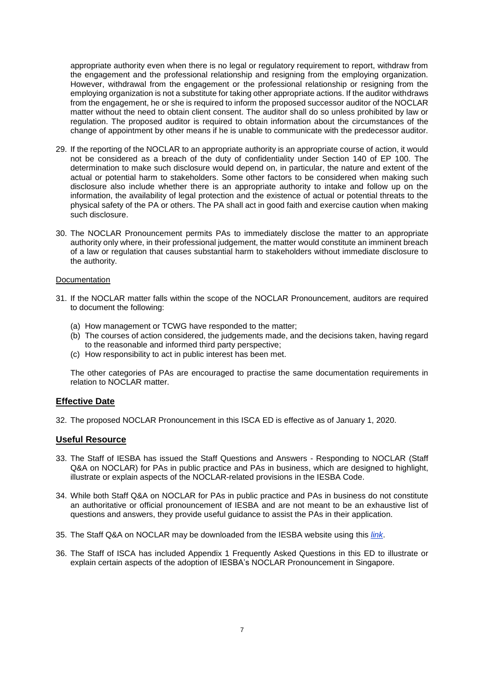appropriate authority even when there is no legal or regulatory requirement to report, withdraw from the engagement and the professional relationship and resigning from the employing organization. However, withdrawal from the engagement or the professional relationship or resigning from the employing organization is not a substitute for taking other appropriate actions. If the auditor withdraws from the engagement, he or she is required to inform the proposed successor auditor of the NOCLAR matter without the need to obtain client consent. The auditor shall do so unless prohibited by law or regulation. The proposed auditor is required to obtain information about the circumstances of the change of appointment by other means if he is unable to communicate with the predecessor auditor.

- 29. If the reporting of the NOCLAR to an appropriate authority is an appropriate course of action, it would not be considered as a breach of the duty of confidentiality under Section 140 of EP 100. The determination to make such disclosure would depend on, in particular, the nature and extent of the actual or potential harm to stakeholders. Some other factors to be considered when making such disclosure also include whether there is an appropriate authority to intake and follow up on the information, the availability of legal protection and the existence of actual or potential threats to the physical safety of the PA or others. The PA shall act in good faith and exercise caution when making such disclosure.
- 30. The NOCLAR Pronouncement permits PAs to immediately disclose the matter to an appropriate authority only where, in their professional judgement, the matter would constitute an imminent breach of a law or regulation that causes substantial harm to stakeholders without immediate disclosure to the authority.

#### **Documentation**

- 31. If the NOCLAR matter falls within the scope of the NOCLAR Pronouncement, auditors are required to document the following:
	- (a) How management or TCWG have responded to the matter;
	- (b) The courses of action considered, the judgements made, and the decisions taken, having regard to the reasonable and informed third party perspective;
	- (c) How responsibility to act in public interest has been met.

The other categories of PAs are encouraged to practise the same documentation requirements in relation to NOCLAR matter.

## **Effective Date**

32. The proposed NOCLAR Pronouncement in this ISCA ED is effective as of January 1, 2020.

### **Useful Resource**

- 33. The Staff of IESBA has issued the Staff Questions and Answers Responding to NOCLAR (Staff Q&A on NOCLAR) for PAs in public practice and PAs in business, which are designed to highlight, illustrate or explain aspects of the NOCLAR-related provisions in the IESBA Code.
- 34. While both Staff Q&A on NOCLAR for PAs in public practice and PAs in business do not constitute an authoritative or official pronouncement of IESBA and are not meant to be an exhaustive list of questions and answers, they provide useful guidance to assist the PAs in their application.
- 35. The Staff Q&A on NOCLAR may be downloaded from the IESBA website using this *[link](https://www.ifac.org/publications-resources/iesba-staff-questions-and-answers-responding-non-compliance-laws-regulations)*.
- 36. The Staff of ISCA has included Appendix 1 Frequently Asked Questions in this ED to illustrate or explain certain aspects of the adoption of IESBA's NOCLAR Pronouncement in Singapore.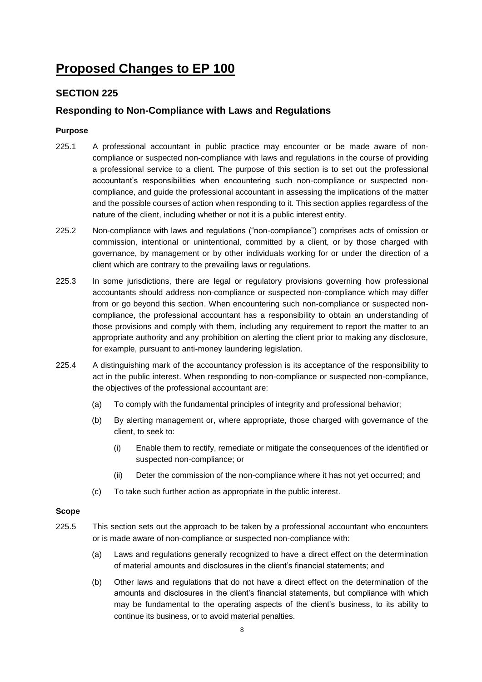## **Proposed Changes to EP 100**

## **SECTION 225**

## **Responding to Non-Compliance with Laws and Regulations**

## **Purpose**

- 225.1 A professional accountant in public practice may encounter or be made aware of noncompliance or suspected non-compliance with laws and regulations in the course of providing a professional service to a client. The purpose of this section is to set out the professional accountant's responsibilities when encountering such non-compliance or suspected noncompliance, and guide the professional accountant in assessing the implications of the matter and the possible courses of action when responding to it. This section applies regardless of the nature of the client, including whether or not it is a public interest entity.
- 225.2 Non-compliance with laws and regulations ("non-compliance") comprises acts of omission or commission, intentional or unintentional, committed by a client, or by those charged with governance, by management or by other individuals working for or under the direction of a client which are contrary to the prevailing laws or regulations.
- 225.3 In some jurisdictions, there are legal or regulatory provisions governing how professional accountants should address non-compliance or suspected non-compliance which may differ from or go beyond this section. When encountering such non-compliance or suspected noncompliance, the professional accountant has a responsibility to obtain an understanding of those provisions and comply with them, including any requirement to report the matter to an appropriate authority and any prohibition on alerting the client prior to making any disclosure, for example, pursuant to anti-money laundering legislation.
- 225.4 A distinguishing mark of the accountancy profession is its acceptance of the responsibility to act in the public interest. When responding to non-compliance or suspected non-compliance, the objectives of the professional accountant are:
	- (a) To comply with the fundamental principles of integrity and professional behavior;
	- (b) By alerting management or, where appropriate, those charged with governance of the client, to seek to:
		- (i) Enable them to rectify, remediate or mitigate the consequences of the identified or suspected non-compliance; or
		- (ii) Deter the commission of the non-compliance where it has not yet occurred; and
	- (c) To take such further action as appropriate in the public interest.

## **Scope**

- 225.5 This section sets out the approach to be taken by a professional accountant who encounters or is made aware of non-compliance or suspected non-compliance with:
	- (a) Laws and regulations generally recognized to have a direct effect on the determination of material amounts and disclosures in the client's financial statements; and
	- (b) Other laws and regulations that do not have a direct effect on the determination of the amounts and disclosures in the client's financial statements, but compliance with which may be fundamental to the operating aspects of the client's business, to its ability to continue its business, or to avoid material penalties.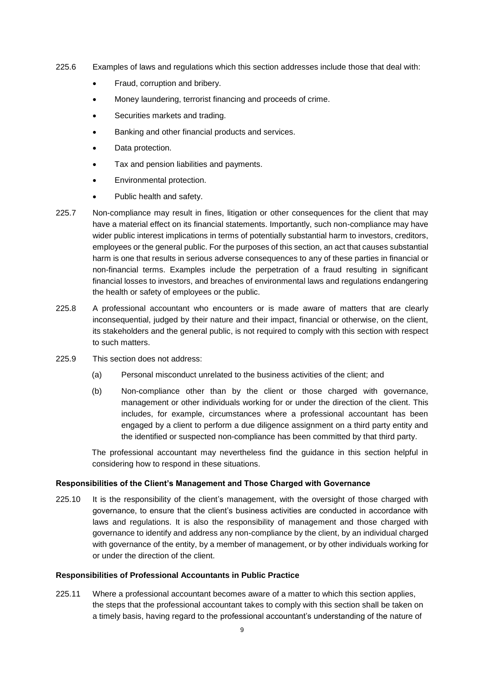- 225.6 Examples of laws and regulations which this section addresses include those that deal with:
	- Fraud, corruption and bribery.
	- Money laundering, terrorist financing and proceeds of crime.
	- Securities markets and trading.
	- Banking and other financial products and services.
	- Data protection.
	- Tax and pension liabilities and payments.
	- Environmental protection.
	- Public health and safety.
- 225.7 Non-compliance may result in fines, litigation or other consequences for the client that may have a material effect on its financial statements. Importantly, such non-compliance may have wider public interest implications in terms of potentially substantial harm to investors, creditors, employees or the general public. For the purposes of this section, an act that causes substantial harm is one that results in serious adverse consequences to any of these parties in financial or non-financial terms. Examples include the perpetration of a fraud resulting in significant financial losses to investors, and breaches of environmental laws and regulations endangering the health or safety of employees or the public.
- 225.8 A professional accountant who encounters or is made aware of matters that are clearly inconsequential, judged by their nature and their impact, financial or otherwise, on the client, its stakeholders and the general public, is not required to comply with this section with respect to such matters.
- 225.9 This section does not address:
	- (a) Personal misconduct unrelated to the business activities of the client; and
	- (b) Non-compliance other than by the client or those charged with governance, management or other individuals working for or under the direction of the client. This includes, for example, circumstances where a professional accountant has been engaged by a client to perform a due diligence assignment on a third party entity and the identified or suspected non-compliance has been committed by that third party.

The professional accountant may nevertheless find the guidance in this section helpful in considering how to respond in these situations.

#### **Responsibilities of the Client's Management and Those Charged with Governance**

225.10 It is the responsibility of the client's management, with the oversight of those charged with governance, to ensure that the client's business activities are conducted in accordance with laws and regulations. It is also the responsibility of management and those charged with governance to identify and address any non-compliance by the client, by an individual charged with governance of the entity, by a member of management, or by other individuals working for or under the direction of the client.

#### **Responsibilities of Professional Accountants in Public Practice**

225.11 Where a professional accountant becomes aware of a matter to which this section applies, the steps that the professional accountant takes to comply with this section shall be taken on a timely basis, having regard to the professional accountant's understanding of the nature of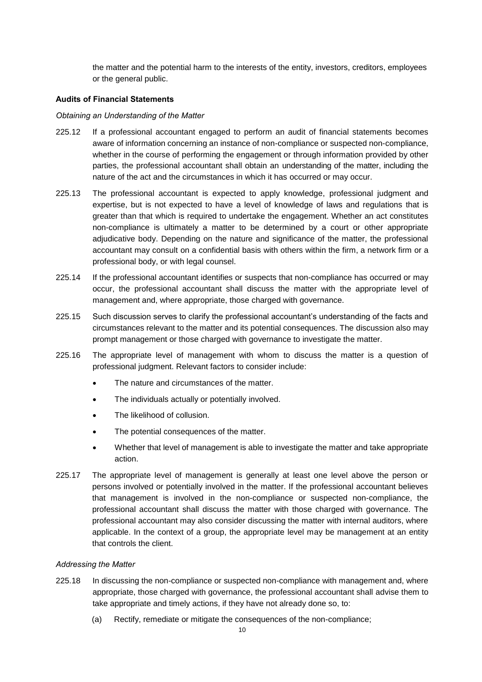the matter and the potential harm to the interests of the entity, investors, creditors, employees or the general public.

#### **Audits of Financial Statements**

#### *Obtaining an Understanding of the Matter*

- 225.12 If a professional accountant engaged to perform an audit of financial statements becomes aware of information concerning an instance of non-compliance or suspected non-compliance, whether in the course of performing the engagement or through information provided by other parties, the professional accountant shall obtain an understanding of the matter, including the nature of the act and the circumstances in which it has occurred or may occur.
- 225.13 The professional accountant is expected to apply knowledge, professional judgment and expertise, but is not expected to have a level of knowledge of laws and regulations that is greater than that which is required to undertake the engagement. Whether an act constitutes non-compliance is ultimately a matter to be determined by a court or other appropriate adjudicative body. Depending on the nature and significance of the matter, the professional accountant may consult on a confidential basis with others within the firm, a network firm or a professional body, or with legal counsel.
- 225.14 If the professional accountant identifies or suspects that non-compliance has occurred or may occur, the professional accountant shall discuss the matter with the appropriate level of management and, where appropriate, those charged with governance.
- 225.15 Such discussion serves to clarify the professional accountant's understanding of the facts and circumstances relevant to the matter and its potential consequences. The discussion also may prompt management or those charged with governance to investigate the matter.
- 225.16 The appropriate level of management with whom to discuss the matter is a question of professional judgment. Relevant factors to consider include:
	- The nature and circumstances of the matter.
	- The individuals actually or potentially involved.
	- The likelihood of collusion.
	- The potential consequences of the matter.
	- Whether that level of management is able to investigate the matter and take appropriate action.
- 225.17 The appropriate level of management is generally at least one level above the person or persons involved or potentially involved in the matter. If the professional accountant believes that management is involved in the non-compliance or suspected non-compliance, the professional accountant shall discuss the matter with those charged with governance. The professional accountant may also consider discussing the matter with internal auditors, where applicable. In the context of a group, the appropriate level may be management at an entity that controls the client.

#### *Addressing the Matter*

- 225.18 In discussing the non-compliance or suspected non-compliance with management and, where appropriate, those charged with governance, the professional accountant shall advise them to take appropriate and timely actions, if they have not already done so, to:
	- (a) Rectify, remediate or mitigate the consequences of the non-compliance;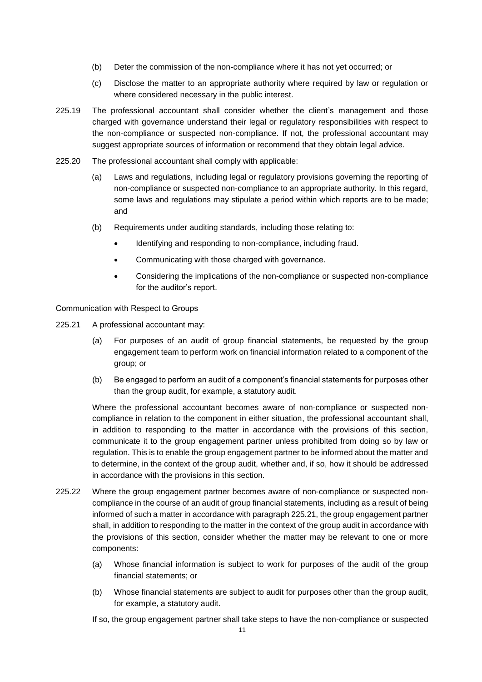- (b) Deter the commission of the non-compliance where it has not yet occurred; or
- (c) Disclose the matter to an appropriate authority where required by law or regulation or where considered necessary in the public interest.
- 225.19 The professional accountant shall consider whether the client's management and those charged with governance understand their legal or regulatory responsibilities with respect to the non-compliance or suspected non-compliance. If not, the professional accountant may suggest appropriate sources of information or recommend that they obtain legal advice.
- 225.20 The professional accountant shall comply with applicable:
	- (a) Laws and regulations, including legal or regulatory provisions governing the reporting of non-compliance or suspected non-compliance to an appropriate authority. In this regard, some laws and regulations may stipulate a period within which reports are to be made; and
	- (b) Requirements under auditing standards, including those relating to:
		- Identifying and responding to non-compliance, including fraud.
		- Communicating with those charged with governance.
		- Considering the implications of the non-compliance or suspected non-compliance for the auditor's report.

Communication with Respect to Groups

- 225.21 A professional accountant may:
	- (a) For purposes of an audit of group financial statements, be requested by the group engagement team to perform work on financial information related to a component of the group; or
	- (b) Be engaged to perform an audit of a component's financial statements for purposes other than the group audit, for example, a statutory audit.

Where the professional accountant becomes aware of non-compliance or suspected noncompliance in relation to the component in either situation, the professional accountant shall, in addition to responding to the matter in accordance with the provisions of this section, communicate it to the group engagement partner unless prohibited from doing so by law or regulation. This is to enable the group engagement partner to be informed about the matter and to determine, in the context of the group audit, whether and, if so, how it should be addressed in accordance with the provisions in this section.

- 225.22 Where the group engagement partner becomes aware of non-compliance or suspected noncompliance in the course of an audit of group financial statements, including as a result of being informed of such a matter in accordance with paragraph 225.21, the group engagement partner shall, in addition to responding to the matter in the context of the group audit in accordance with the provisions of this section, consider whether the matter may be relevant to one or more components:
	- (a) Whose financial information is subject to work for purposes of the audit of the group financial statements; or
	- (b) Whose financial statements are subject to audit for purposes other than the group audit, for example, a statutory audit.

If so, the group engagement partner shall take steps to have the non-compliance or suspected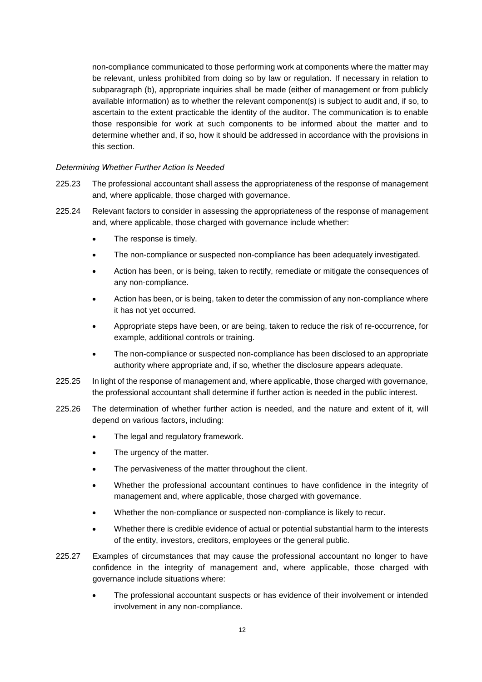non-compliance communicated to those performing work at components where the matter may be relevant, unless prohibited from doing so by law or regulation. If necessary in relation to subparagraph (b), appropriate inquiries shall be made (either of management or from publicly available information) as to whether the relevant component(s) is subject to audit and, if so, to ascertain to the extent practicable the identity of the auditor. The communication is to enable those responsible for work at such components to be informed about the matter and to determine whether and, if so, how it should be addressed in accordance with the provisions in this section.

### *Determining Whether Further Action Is Needed*

- 225.23 The professional accountant shall assess the appropriateness of the response of management and, where applicable, those charged with governance.
- 225.24 Relevant factors to consider in assessing the appropriateness of the response of management and, where applicable, those charged with governance include whether:
	- The response is timely.
	- The non-compliance or suspected non-compliance has been adequately investigated.
	- Action has been, or is being, taken to rectify, remediate or mitigate the consequences of any non-compliance.
	- Action has been, or is being, taken to deter the commission of any non-compliance where it has not yet occurred.
	- Appropriate steps have been, or are being, taken to reduce the risk of re-occurrence, for example, additional controls or training.
	- The non-compliance or suspected non-compliance has been disclosed to an appropriate authority where appropriate and, if so, whether the disclosure appears adequate.
- 225.25 In light of the response of management and, where applicable, those charged with governance, the professional accountant shall determine if further action is needed in the public interest.
- 225.26 The determination of whether further action is needed, and the nature and extent of it, will depend on various factors, including:
	- The legal and regulatory framework.
	- The urgency of the matter.
	- The pervasiveness of the matter throughout the client.
	- Whether the professional accountant continues to have confidence in the integrity of management and, where applicable, those charged with governance.
	- Whether the non-compliance or suspected non-compliance is likely to recur.
	- Whether there is credible evidence of actual or potential substantial harm to the interests of the entity, investors, creditors, employees or the general public.
- 225.27 Examples of circumstances that may cause the professional accountant no longer to have confidence in the integrity of management and, where applicable, those charged with governance include situations where:
	- The professional accountant suspects or has evidence of their involvement or intended involvement in any non-compliance.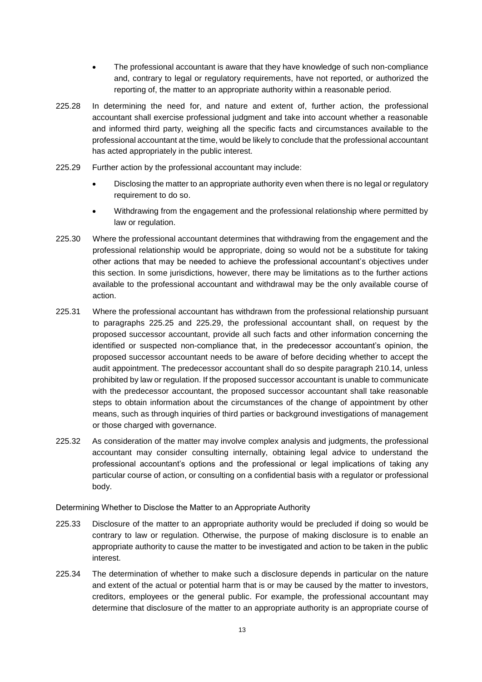- The professional accountant is aware that they have knowledge of such non-compliance and, contrary to legal or regulatory requirements, have not reported, or authorized the reporting of, the matter to an appropriate authority within a reasonable period.
- 225.28 In determining the need for, and nature and extent of, further action, the professional accountant shall exercise professional judgment and take into account whether a reasonable and informed third party, weighing all the specific facts and circumstances available to the professional accountant at the time, would be likely to conclude that the professional accountant has acted appropriately in the public interest.
- 225.29 Further action by the professional accountant may include:
	- Disclosing the matter to an appropriate authority even when there is no legal or regulatory requirement to do so.
	- Withdrawing from the engagement and the professional relationship where permitted by law or regulation.
- 225.30 Where the professional accountant determines that withdrawing from the engagement and the professional relationship would be appropriate, doing so would not be a substitute for taking other actions that may be needed to achieve the professional accountant's objectives under this section. In some jurisdictions, however, there may be limitations as to the further actions available to the professional accountant and withdrawal may be the only available course of action.
- 225.31 Where the professional accountant has withdrawn from the professional relationship pursuant to paragraphs 225.25 and 225.29, the professional accountant shall, on request by the proposed successor accountant, provide all such facts and other information concerning the identified or suspected non-compliance that, in the predecessor accountant's opinion, the proposed successor accountant needs to be aware of before deciding whether to accept the audit appointment. The predecessor accountant shall do so despite paragraph 210.14, unless prohibited by law or regulation. If the proposed successor accountant is unable to communicate with the predecessor accountant, the proposed successor accountant shall take reasonable steps to obtain information about the circumstances of the change of appointment by other means, such as through inquiries of third parties or background investigations of management or those charged with governance.
- 225.32 As consideration of the matter may involve complex analysis and judgments, the professional accountant may consider consulting internally, obtaining legal advice to understand the professional accountant's options and the professional or legal implications of taking any particular course of action, or consulting on a confidential basis with a regulator or professional body.

Determining Whether to Disclose the Matter to an Appropriate Authority

- 225.33 Disclosure of the matter to an appropriate authority would be precluded if doing so would be contrary to law or regulation. Otherwise, the purpose of making disclosure is to enable an appropriate authority to cause the matter to be investigated and action to be taken in the public interest.
- 225.34 The determination of whether to make such a disclosure depends in particular on the nature and extent of the actual or potential harm that is or may be caused by the matter to investors, creditors, employees or the general public. For example, the professional accountant may determine that disclosure of the matter to an appropriate authority is an appropriate course of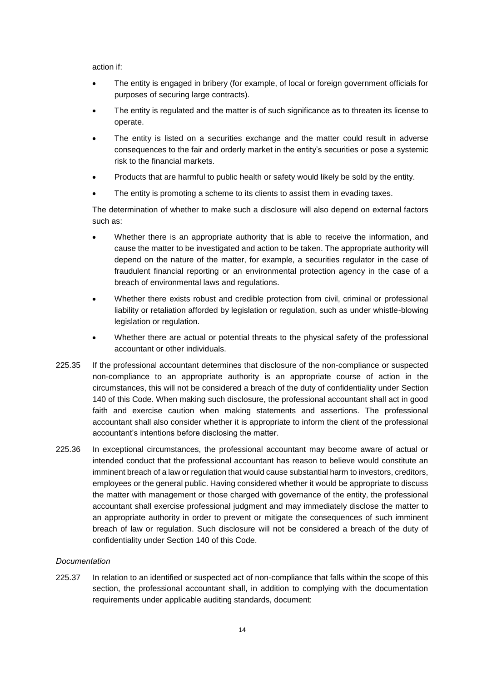action if:

- The entity is engaged in bribery (for example, of local or foreign government officials for purposes of securing large contracts).
- The entity is regulated and the matter is of such significance as to threaten its license to operate.
- The entity is listed on a securities exchange and the matter could result in adverse consequences to the fair and orderly market in the entity's securities or pose a systemic risk to the financial markets.
- Products that are harmful to public health or safety would likely be sold by the entity.
- The entity is promoting a scheme to its clients to assist them in evading taxes.

The determination of whether to make such a disclosure will also depend on external factors such as:

- Whether there is an appropriate authority that is able to receive the information, and cause the matter to be investigated and action to be taken. The appropriate authority will depend on the nature of the matter, for example, a securities regulator in the case of fraudulent financial reporting or an environmental protection agency in the case of a breach of environmental laws and regulations.
- Whether there exists robust and credible protection from civil, criminal or professional liability or retaliation afforded by legislation or regulation, such as under whistle-blowing legislation or regulation.
- Whether there are actual or potential threats to the physical safety of the professional accountant or other individuals.
- 225.35 If the professional accountant determines that disclosure of the non-compliance or suspected non-compliance to an appropriate authority is an appropriate course of action in the circumstances, this will not be considered a breach of the duty of confidentiality under Section 140 of this Code. When making such disclosure, the professional accountant shall act in good faith and exercise caution when making statements and assertions. The professional accountant shall also consider whether it is appropriate to inform the client of the professional accountant's intentions before disclosing the matter.
- 225.36 In exceptional circumstances, the professional accountant may become aware of actual or intended conduct that the professional accountant has reason to believe would constitute an imminent breach of a law or regulation that would cause substantial harm to investors, creditors, employees or the general public. Having considered whether it would be appropriate to discuss the matter with management or those charged with governance of the entity, the professional accountant shall exercise professional judgment and may immediately disclose the matter to an appropriate authority in order to prevent or mitigate the consequences of such imminent breach of law or regulation. Such disclosure will not be considered a breach of the duty of confidentiality under Section 140 of this Code.

## *Documentation*

225.37 In relation to an identified or suspected act of non-compliance that falls within the scope of this section, the professional accountant shall, in addition to complying with the documentation requirements under applicable auditing standards, document: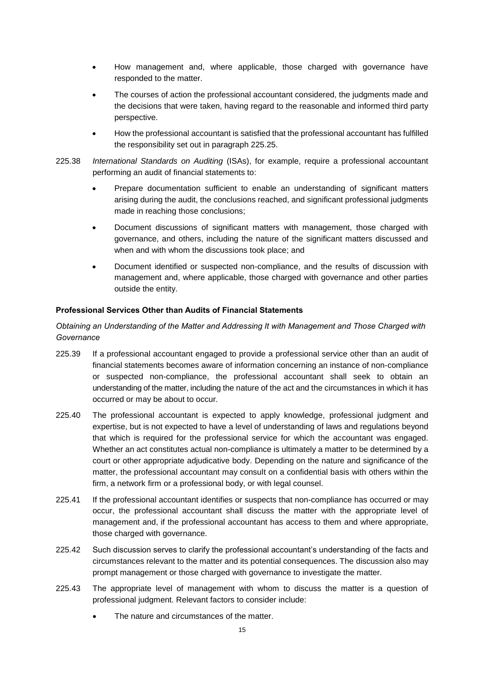- How management and, where applicable, those charged with governance have responded to the matter.
- The courses of action the professional accountant considered, the judgments made and the decisions that were taken, having regard to the reasonable and informed third party perspective.
- How the professional accountant is satisfied that the professional accountant has fulfilled the responsibility set out in paragraph 225.25.
- 225.38 *International Standards on Auditing* (ISAs), for example, require a professional accountant performing an audit of financial statements to:
	- Prepare documentation sufficient to enable an understanding of significant matters arising during the audit, the conclusions reached, and significant professional judgments made in reaching those conclusions;
	- Document discussions of significant matters with management, those charged with governance, and others, including the nature of the significant matters discussed and when and with whom the discussions took place; and
	- Document identified or suspected non-compliance, and the results of discussion with management and, where applicable, those charged with governance and other parties outside the entity.

## **Professional Services Other than Audits of Financial Statements**

## *Obtaining an Understanding of the Matter and Addressing It with Management and Those Charged with Governance*

- 225.39 If a professional accountant engaged to provide a professional service other than an audit of financial statements becomes aware of information concerning an instance of non-compliance or suspected non-compliance, the professional accountant shall seek to obtain an understanding of the matter, including the nature of the act and the circumstances in which it has occurred or may be about to occur.
- 225.40 The professional accountant is expected to apply knowledge, professional judgment and expertise, but is not expected to have a level of understanding of laws and regulations beyond that which is required for the professional service for which the accountant was engaged. Whether an act constitutes actual non-compliance is ultimately a matter to be determined by a court or other appropriate adjudicative body. Depending on the nature and significance of the matter, the professional accountant may consult on a confidential basis with others within the firm, a network firm or a professional body, or with legal counsel.
- 225.41 If the professional accountant identifies or suspects that non-compliance has occurred or may occur, the professional accountant shall discuss the matter with the appropriate level of management and, if the professional accountant has access to them and where appropriate, those charged with governance.
- 225.42 Such discussion serves to clarify the professional accountant's understanding of the facts and circumstances relevant to the matter and its potential consequences. The discussion also may prompt management or those charged with governance to investigate the matter.
- 225.43 The appropriate level of management with whom to discuss the matter is a question of professional judgment. Relevant factors to consider include:
	- The nature and circumstances of the matter.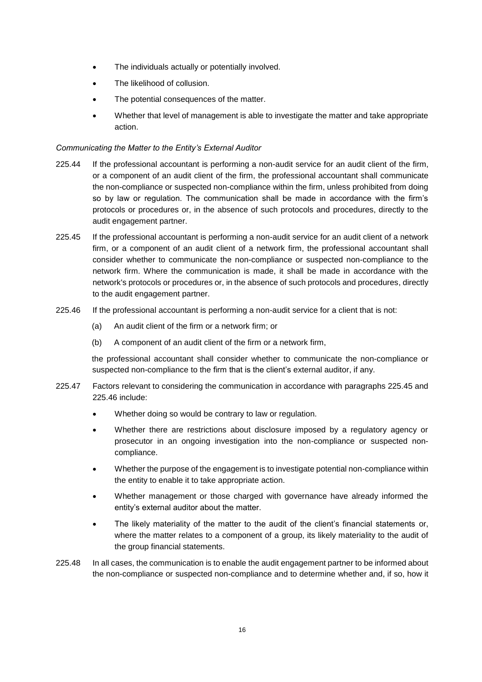- The individuals actually or potentially involved.
- The likelihood of collusion.
- The potential consequences of the matter.
- Whether that level of management is able to investigate the matter and take appropriate action.

## *Communicating the Matter to the Entity's External Auditor*

- 225.44 If the professional accountant is performing a non-audit service for an audit client of the firm, or a component of an audit client of the firm, the professional accountant shall communicate the non-compliance or suspected non-compliance within the firm, unless prohibited from doing so by law or regulation. The communication shall be made in accordance with the firm's protocols or procedures or, in the absence of such protocols and procedures, directly to the audit engagement partner.
- 225.45 If the professional accountant is performing a non-audit service for an audit client of a network firm, or a component of an audit client of a network firm, the professional accountant shall consider whether to communicate the non-compliance or suspected non-compliance to the network firm. Where the communication is made, it shall be made in accordance with the network's protocols or procedures or, in the absence of such protocols and procedures, directly to the audit engagement partner.
- 225.46 If the professional accountant is performing a non-audit service for a client that is not:
	- (a) An audit client of the firm or a network firm; or
	- (b) A component of an audit client of the firm or a network firm,

the professional accountant shall consider whether to communicate the non-compliance or suspected non-compliance to the firm that is the client's external auditor, if any.

- 225.47 Factors relevant to considering the communication in accordance with paragraphs 225.45 and 225.46 include:
	- Whether doing so would be contrary to law or regulation.
	- Whether there are restrictions about disclosure imposed by a regulatory agency or prosecutor in an ongoing investigation into the non-compliance or suspected noncompliance.
	- Whether the purpose of the engagement is to investigate potential non-compliance within the entity to enable it to take appropriate action.
	- Whether management or those charged with governance have already informed the entity's external auditor about the matter.
	- The likely materiality of the matter to the audit of the client's financial statements or, where the matter relates to a component of a group, its likely materiality to the audit of the group financial statements.
- 225.48 In all cases, the communication is to enable the audit engagement partner to be informed about the non-compliance or suspected non-compliance and to determine whether and, if so, how it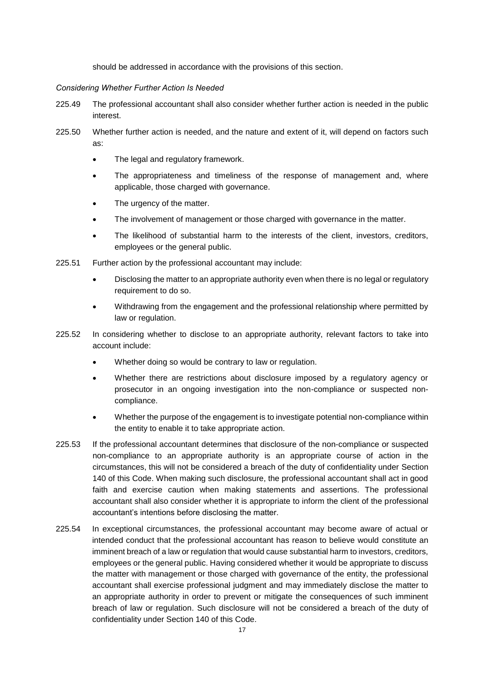should be addressed in accordance with the provisions of this section.

## *Considering Whether Further Action Is Needed*

- 225.49 The professional accountant shall also consider whether further action is needed in the public interest.
- 225.50 Whether further action is needed, and the nature and extent of it, will depend on factors such as:
	- The legal and regulatory framework.
	- The appropriateness and timeliness of the response of management and, where applicable, those charged with governance.
	- The urgency of the matter.
	- The involvement of management or those charged with governance in the matter.
	- The likelihood of substantial harm to the interests of the client, investors, creditors, employees or the general public.
- 225.51 Further action by the professional accountant may include:
	- Disclosing the matter to an appropriate authority even when there is no legal or regulatory requirement to do so.
	- Withdrawing from the engagement and the professional relationship where permitted by law or regulation.
- 225.52 In considering whether to disclose to an appropriate authority, relevant factors to take into account include:
	- Whether doing so would be contrary to law or regulation.
	- Whether there are restrictions about disclosure imposed by a regulatory agency or prosecutor in an ongoing investigation into the non-compliance or suspected noncompliance.
	- Whether the purpose of the engagement is to investigate potential non-compliance within the entity to enable it to take appropriate action.
- 225.53 If the professional accountant determines that disclosure of the non-compliance or suspected non-compliance to an appropriate authority is an appropriate course of action in the circumstances, this will not be considered a breach of the duty of confidentiality under Section 140 of this Code. When making such disclosure, the professional accountant shall act in good faith and exercise caution when making statements and assertions. The professional accountant shall also consider whether it is appropriate to inform the client of the professional accountant's intentions before disclosing the matter.
- 225.54 In exceptional circumstances, the professional accountant may become aware of actual or intended conduct that the professional accountant has reason to believe would constitute an imminent breach of a law or regulation that would cause substantial harm to investors, creditors, employees or the general public. Having considered whether it would be appropriate to discuss the matter with management or those charged with governance of the entity, the professional accountant shall exercise professional judgment and may immediately disclose the matter to an appropriate authority in order to prevent or mitigate the consequences of such imminent breach of law or regulation. Such disclosure will not be considered a breach of the duty of confidentiality under Section 140 of this Code.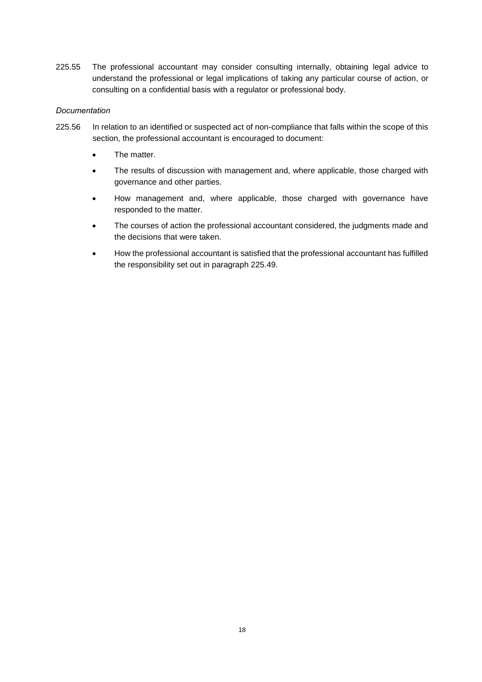225.55 The professional accountant may consider consulting internally, obtaining legal advice to understand the professional or legal implications of taking any particular course of action, or consulting on a confidential basis with a regulator or professional body.

## *Documentation*

- 225.56 In relation to an identified or suspected act of non-compliance that falls within the scope of this section, the professional accountant is encouraged to document:
	- The matter.
	- The results of discussion with management and, where applicable, those charged with governance and other parties.
	- How management and, where applicable, those charged with governance have responded to the matter.
	- The courses of action the professional accountant considered, the judgments made and the decisions that were taken.
	- How the professional accountant is satisfied that the professional accountant has fulfilled the responsibility set out in paragraph 225.49.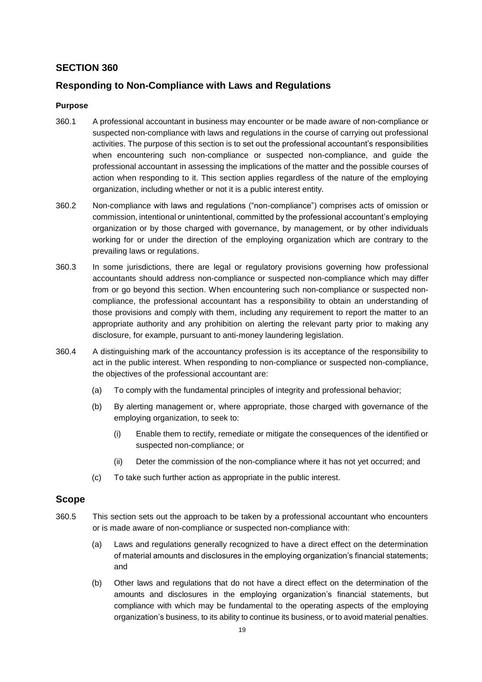## **SECTION 360**

## **Responding to Non-Compliance with Laws and Regulations**

### **Purpose**

- 360.1 A professional accountant in business may encounter or be made aware of non-compliance or suspected non-compliance with laws and regulations in the course of carrying out professional activities. The purpose of this section is to set out the professional accountant's responsibilities when encountering such non-compliance or suspected non-compliance, and guide the professional accountant in assessing the implications of the matter and the possible courses of action when responding to it. This section applies regardless of the nature of the employing organization, including whether or not it is a public interest entity.
- 360.2 Non-compliance with laws and regulations ("non-compliance") comprises acts of omission or commission, intentional or unintentional, committed by the professional accountant's employing organization or by those charged with governance, by management, or by other individuals working for or under the direction of the employing organization which are contrary to the prevailing laws or regulations.
- 360.3 In some jurisdictions, there are legal or regulatory provisions governing how professional accountants should address non-compliance or suspected non-compliance which may differ from or go beyond this section. When encountering such non-compliance or suspected noncompliance, the professional accountant has a responsibility to obtain an understanding of those provisions and comply with them, including any requirement to report the matter to an appropriate authority and any prohibition on alerting the relevant party prior to making any disclosure, for example, pursuant to anti-money laundering legislation.
- 360.4 A distinguishing mark of the accountancy profession is its acceptance of the responsibility to act in the public interest. When responding to non-compliance or suspected non-compliance, the objectives of the professional accountant are:
	- (a) To comply with the fundamental principles of integrity and professional behavior;
	- (b) By alerting management or, where appropriate, those charged with governance of the employing organization, to seek to:
		- (i) Enable them to rectify, remediate or mitigate the consequences of the identified or suspected non-compliance; or
		- (ii) Deter the commission of the non-compliance where it has not yet occurred; and
	- (c) To take such further action as appropriate in the public interest.

## **Scope**

- 360.5 This section sets out the approach to be taken by a professional accountant who encounters or is made aware of non-compliance or suspected non-compliance with:
	- (a) Laws and regulations generally recognized to have a direct effect on the determination of material amounts and disclosures in the employing organization's financial statements; and
	- (b) Other laws and regulations that do not have a direct effect on the determination of the amounts and disclosures in the employing organization's financial statements, but compliance with which may be fundamental to the operating aspects of the employing organization's business, to its ability to continue its business, or to avoid material penalties.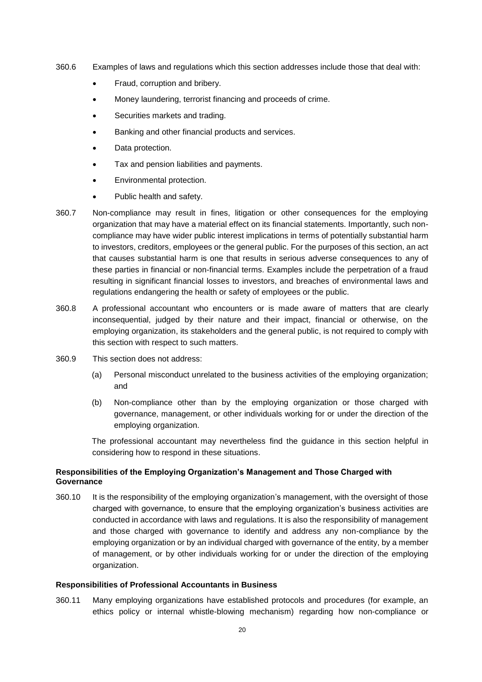- 360.6 Examples of laws and regulations which this section addresses include those that deal with:
	- Fraud, corruption and bribery.
	- Money laundering, terrorist financing and proceeds of crime.
	- Securities markets and trading.
	- Banking and other financial products and services.
	- Data protection.
	- Tax and pension liabilities and payments.
	- Environmental protection.
	- Public health and safety.
- 360.7 Non-compliance may result in fines, litigation or other consequences for the employing organization that may have a material effect on its financial statements. Importantly, such noncompliance may have wider public interest implications in terms of potentially substantial harm to investors, creditors, employees or the general public. For the purposes of this section, an act that causes substantial harm is one that results in serious adverse consequences to any of these parties in financial or non-financial terms. Examples include the perpetration of a fraud resulting in significant financial losses to investors, and breaches of environmental laws and regulations endangering the health or safety of employees or the public.
- 360.8 A professional accountant who encounters or is made aware of matters that are clearly inconsequential, judged by their nature and their impact, financial or otherwise, on the employing organization, its stakeholders and the general public, is not required to comply with this section with respect to such matters.
- 360.9 This section does not address:
	- (a) Personal misconduct unrelated to the business activities of the employing organization; and
	- (b) Non-compliance other than by the employing organization or those charged with governance, management, or other individuals working for or under the direction of the employing organization.

The professional accountant may nevertheless find the guidance in this section helpful in considering how to respond in these situations.

## **Responsibilities of the Employing Organization's Management and Those Charged with Governance**

360.10 It is the responsibility of the employing organization's management, with the oversight of those charged with governance, to ensure that the employing organization's business activities are conducted in accordance with laws and regulations. It is also the responsibility of management and those charged with governance to identify and address any non-compliance by the employing organization or by an individual charged with governance of the entity, by a member of management, or by other individuals working for or under the direction of the employing organization.

#### **Responsibilities of Professional Accountants in Business**

360.11 Many employing organizations have established protocols and procedures (for example, an ethics policy or internal whistle-blowing mechanism) regarding how non-compliance or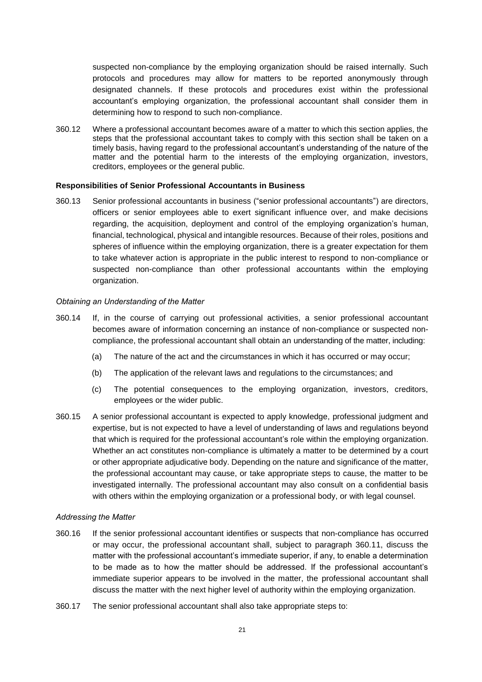suspected non-compliance by the employing organization should be raised internally. Such protocols and procedures may allow for matters to be reported anonymously through designated channels. If these protocols and procedures exist within the professional accountant's employing organization, the professional accountant shall consider them in determining how to respond to such non-compliance.

360.12 Where a professional accountant becomes aware of a matter to which this section applies, the steps that the professional accountant takes to comply with this section shall be taken on a timely basis, having regard to the professional accountant's understanding of the nature of the matter and the potential harm to the interests of the employing organization, investors, creditors, employees or the general public.

#### **Responsibilities of Senior Professional Accountants in Business**

360.13 Senior professional accountants in business ("senior professional accountants") are directors, officers or senior employees able to exert significant influence over, and make decisions regarding, the acquisition, deployment and control of the employing organization's human, financial, technological, physical and intangible resources. Because of their roles, positions and spheres of influence within the employing organization, there is a greater expectation for them to take whatever action is appropriate in the public interest to respond to non-compliance or suspected non-compliance than other professional accountants within the employing organization.

#### *Obtaining an Understanding of the Matter*

- 360.14 If, in the course of carrying out professional activities, a senior professional accountant becomes aware of information concerning an instance of non-compliance or suspected noncompliance, the professional accountant shall obtain an understanding of the matter, including:
	- (a) The nature of the act and the circumstances in which it has occurred or may occur;
	- (b) The application of the relevant laws and regulations to the circumstances; and
	- (c) The potential consequences to the employing organization, investors, creditors, employees or the wider public.
- 360.15 A senior professional accountant is expected to apply knowledge, professional judgment and expertise, but is not expected to have a level of understanding of laws and regulations beyond that which is required for the professional accountant's role within the employing organization. Whether an act constitutes non-compliance is ultimately a matter to be determined by a court or other appropriate adjudicative body. Depending on the nature and significance of the matter, the professional accountant may cause, or take appropriate steps to cause, the matter to be investigated internally. The professional accountant may also consult on a confidential basis with others within the employing organization or a professional body, or with legal counsel.

#### *Addressing the Matter*

- 360.16 If the senior professional accountant identifies or suspects that non-compliance has occurred or may occur, the professional accountant shall, subject to paragraph 360.11, discuss the matter with the professional accountant's immediate superior, if any, to enable a determination to be made as to how the matter should be addressed. If the professional accountant's immediate superior appears to be involved in the matter, the professional accountant shall discuss the matter with the next higher level of authority within the employing organization.
- 360.17 The senior professional accountant shall also take appropriate steps to: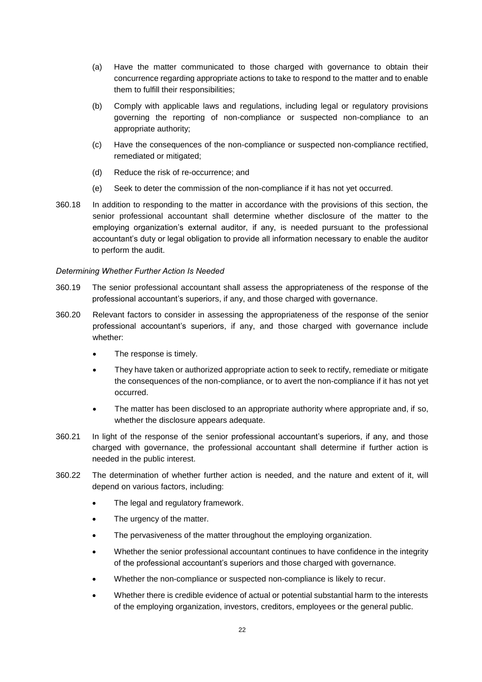- (a) Have the matter communicated to those charged with governance to obtain their concurrence regarding appropriate actions to take to respond to the matter and to enable them to fulfill their responsibilities;
- (b) Comply with applicable laws and regulations, including legal or regulatory provisions governing the reporting of non-compliance or suspected non-compliance to an appropriate authority;
- (c) Have the consequences of the non-compliance or suspected non-compliance rectified, remediated or mitigated;
- (d) Reduce the risk of re-occurrence; and
- (e) Seek to deter the commission of the non-compliance if it has not yet occurred.
- 360.18 In addition to responding to the matter in accordance with the provisions of this section, the senior professional accountant shall determine whether disclosure of the matter to the employing organization's external auditor, if any, is needed pursuant to the professional accountant's duty or legal obligation to provide all information necessary to enable the auditor to perform the audit.

#### *Determining Whether Further Action Is Needed*

- 360.19 The senior professional accountant shall assess the appropriateness of the response of the professional accountant's superiors, if any, and those charged with governance.
- 360.20 Relevant factors to consider in assessing the appropriateness of the response of the senior professional accountant's superiors, if any, and those charged with governance include whether:
	- The response is timely.
	- They have taken or authorized appropriate action to seek to rectify, remediate or mitigate the consequences of the non-compliance, or to avert the non-compliance if it has not yet occurred.
	- The matter has been disclosed to an appropriate authority where appropriate and, if so, whether the disclosure appears adequate.
- 360.21 In light of the response of the senior professional accountant's superiors, if any, and those charged with governance, the professional accountant shall determine if further action is needed in the public interest.
- 360.22 The determination of whether further action is needed, and the nature and extent of it, will depend on various factors, including:
	- The legal and regulatory framework.
	- The urgency of the matter.
	- The pervasiveness of the matter throughout the employing organization.
	- Whether the senior professional accountant continues to have confidence in the integrity of the professional accountant's superiors and those charged with governance.
	- Whether the non-compliance or suspected non-compliance is likely to recur.
	- Whether there is credible evidence of actual or potential substantial harm to the interests of the employing organization, investors, creditors, employees or the general public.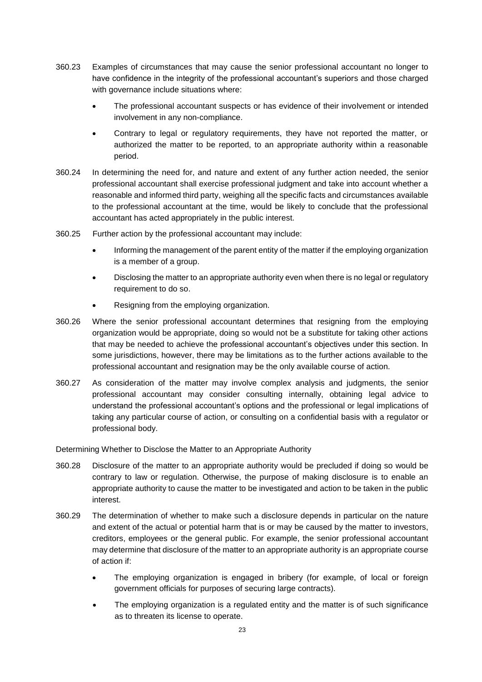- 360.23 Examples of circumstances that may cause the senior professional accountant no longer to have confidence in the integrity of the professional accountant's superiors and those charged with governance include situations where:
	- The professional accountant suspects or has evidence of their involvement or intended involvement in any non-compliance.
	- Contrary to legal or regulatory requirements, they have not reported the matter, or authorized the matter to be reported, to an appropriate authority within a reasonable period.
- 360.24 In determining the need for, and nature and extent of any further action needed, the senior professional accountant shall exercise professional judgment and take into account whether a reasonable and informed third party, weighing all the specific facts and circumstances available to the professional accountant at the time, would be likely to conclude that the professional accountant has acted appropriately in the public interest.
- 360.25 Further action by the professional accountant may include:
	- Informing the management of the parent entity of the matter if the employing organization is a member of a group.
	- Disclosing the matter to an appropriate authority even when there is no legal or regulatory requirement to do so.
	- Resigning from the employing organization.
- 360.26 Where the senior professional accountant determines that resigning from the employing organization would be appropriate, doing so would not be a substitute for taking other actions that may be needed to achieve the professional accountant's objectives under this section. In some jurisdictions, however, there may be limitations as to the further actions available to the professional accountant and resignation may be the only available course of action.
- 360.27 As consideration of the matter may involve complex analysis and judgments, the senior professional accountant may consider consulting internally, obtaining legal advice to understand the professional accountant's options and the professional or legal implications of taking any particular course of action, or consulting on a confidential basis with a regulator or professional body.

Determining Whether to Disclose the Matter to an Appropriate Authority

- 360.28 Disclosure of the matter to an appropriate authority would be precluded if doing so would be contrary to law or regulation. Otherwise, the purpose of making disclosure is to enable an appropriate authority to cause the matter to be investigated and action to be taken in the public interest.
- 360.29 The determination of whether to make such a disclosure depends in particular on the nature and extent of the actual or potential harm that is or may be caused by the matter to investors, creditors, employees or the general public. For example, the senior professional accountant may determine that disclosure of the matter to an appropriate authority is an appropriate course of action if:
	- The employing organization is engaged in bribery (for example, of local or foreign government officials for purposes of securing large contracts).
	- The employing organization is a regulated entity and the matter is of such significance as to threaten its license to operate.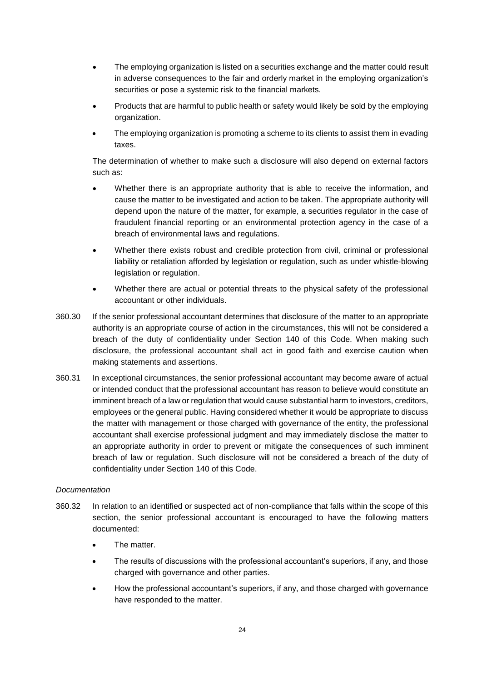- The employing organization is listed on a securities exchange and the matter could result in adverse consequences to the fair and orderly market in the employing organization's securities or pose a systemic risk to the financial markets.
- Products that are harmful to public health or safety would likely be sold by the employing organization.
- The employing organization is promoting a scheme to its clients to assist them in evading taxes.

The determination of whether to make such a disclosure will also depend on external factors such as:

- Whether there is an appropriate authority that is able to receive the information, and cause the matter to be investigated and action to be taken. The appropriate authority will depend upon the nature of the matter, for example, a securities regulator in the case of fraudulent financial reporting or an environmental protection agency in the case of a breach of environmental laws and regulations.
- Whether there exists robust and credible protection from civil, criminal or professional liability or retaliation afforded by legislation or regulation, such as under whistle-blowing legislation or regulation.
- Whether there are actual or potential threats to the physical safety of the professional accountant or other individuals.
- 360.30 If the senior professional accountant determines that disclosure of the matter to an appropriate authority is an appropriate course of action in the circumstances, this will not be considered a breach of the duty of confidentiality under Section 140 of this Code. When making such disclosure, the professional accountant shall act in good faith and exercise caution when making statements and assertions.
- 360.31 In exceptional circumstances, the senior professional accountant may become aware of actual or intended conduct that the professional accountant has reason to believe would constitute an imminent breach of a law or regulation that would cause substantial harm to investors, creditors, employees or the general public. Having considered whether it would be appropriate to discuss the matter with management or those charged with governance of the entity, the professional accountant shall exercise professional judgment and may immediately disclose the matter to an appropriate authority in order to prevent or mitigate the consequences of such imminent breach of law or regulation. Such disclosure will not be considered a breach of the duty of confidentiality under Section 140 of this Code.

## *Documentation*

- 360.32 In relation to an identified or suspected act of non-compliance that falls within the scope of this section, the senior professional accountant is encouraged to have the following matters documented:
	- The matter.
	- The results of discussions with the professional accountant's superiors, if any, and those charged with governance and other parties.
	- How the professional accountant's superiors, if any, and those charged with governance have responded to the matter.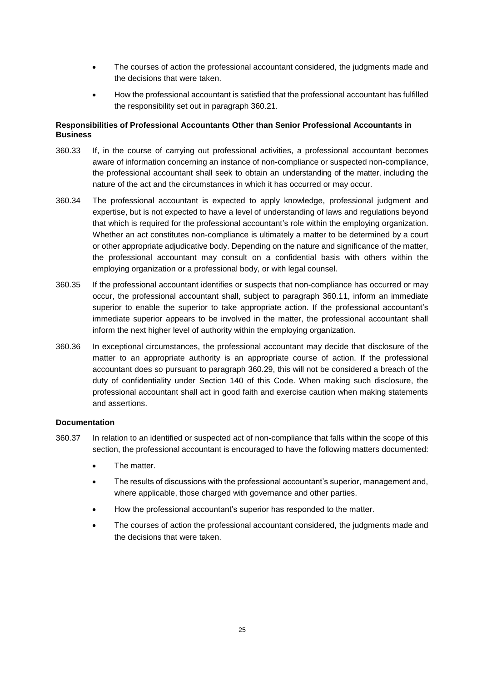- The courses of action the professional accountant considered, the judgments made and the decisions that were taken.
- How the professional accountant is satisfied that the professional accountant has fulfilled the responsibility set out in paragraph 360.21.

## **Responsibilities of Professional Accountants Other than Senior Professional Accountants in Business**

- 360.33 If, in the course of carrying out professional activities, a professional accountant becomes aware of information concerning an instance of non-compliance or suspected non-compliance, the professional accountant shall seek to obtain an understanding of the matter, including the nature of the act and the circumstances in which it has occurred or may occur.
- 360.34 The professional accountant is expected to apply knowledge, professional judgment and expertise, but is not expected to have a level of understanding of laws and regulations beyond that which is required for the professional accountant's role within the employing organization. Whether an act constitutes non-compliance is ultimately a matter to be determined by a court or other appropriate adjudicative body. Depending on the nature and significance of the matter, the professional accountant may consult on a confidential basis with others within the employing organization or a professional body, or with legal counsel.
- 360.35 If the professional accountant identifies or suspects that non-compliance has occurred or may occur, the professional accountant shall, subject to paragraph 360.11, inform an immediate superior to enable the superior to take appropriate action. If the professional accountant's immediate superior appears to be involved in the matter, the professional accountant shall inform the next higher level of authority within the employing organization.
- 360.36 In exceptional circumstances, the professional accountant may decide that disclosure of the matter to an appropriate authority is an appropriate course of action. If the professional accountant does so pursuant to paragraph 360.29, this will not be considered a breach of the duty of confidentiality under Section 140 of this Code. When making such disclosure, the professional accountant shall act in good faith and exercise caution when making statements and assertions.

## **Documentation**

- 360.37 In relation to an identified or suspected act of non-compliance that falls within the scope of this section, the professional accountant is encouraged to have the following matters documented:
	- The matter.
	- The results of discussions with the professional accountant's superior, management and, where applicable, those charged with governance and other parties.
	- How the professional accountant's superior has responded to the matter.
	- The courses of action the professional accountant considered, the judgments made and the decisions that were taken.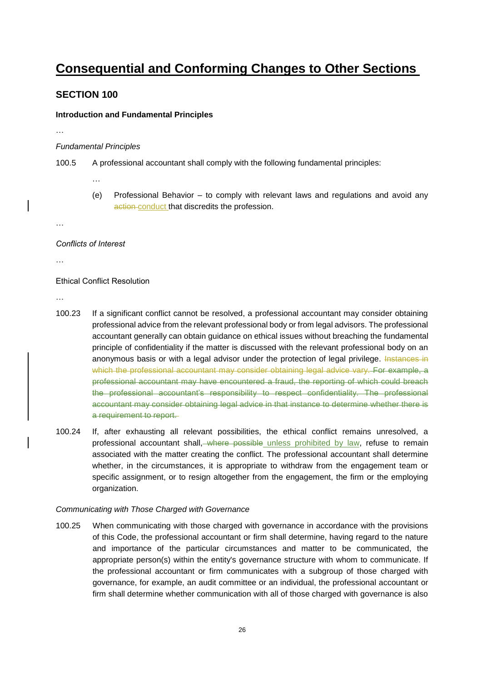## **Consequential and Conforming Changes to Other Sections**

## **SECTION 100**

#### **Introduction and Fundamental Principles**

…

### *Fundamental Principles*

### 100.5 A professional accountant shall comply with the following fundamental principles:

…

(e) Professional Behavior – to comply with relevant laws and regulations and avoid any action-conduct that discredits the profession.

…

#### *Conflicts of Interest*

…

### Ethical Conflict Resolution

…

- 100.23 If a significant conflict cannot be resolved, a professional accountant may consider obtaining professional advice from the relevant professional body or from legal advisors. The professional accountant generally can obtain guidance on ethical issues without breaching the fundamental principle of confidentiality if the matter is discussed with the relevant professional body on an anonymous basis or with a legal advisor under the protection of legal privilege. Instances in which the professional accountant may consider obtaining legal advice vary. For example, a professional accountant may have encountered a fraud, the reporting of which could breach the professional accountant's responsibility to respect confidentiality. The professional accountant may consider obtaining legal advice in that instance to determine whether there is a requirement to report.
- 100.24 If, after exhausting all relevant possibilities, the ethical conflict remains unresolved, a professional accountant shall, where possible unless prohibited by law, refuse to remain associated with the matter creating the conflict. The professional accountant shall determine whether, in the circumstances, it is appropriate to withdraw from the engagement team or specific assignment, or to resign altogether from the engagement, the firm or the employing organization.

## *Communicating with Those Charged with Governance*

100.25 When communicating with those charged with governance in accordance with the provisions of this Code, the professional accountant or firm shall determine, having regard to the nature and importance of the particular circumstances and matter to be communicated, the appropriate person(s) within the entity's governance structure with whom to communicate. If the professional accountant or firm communicates with a subgroup of those charged with governance, for example, an audit committee or an individual, the professional accountant or firm shall determine whether communication with all of those charged with governance is also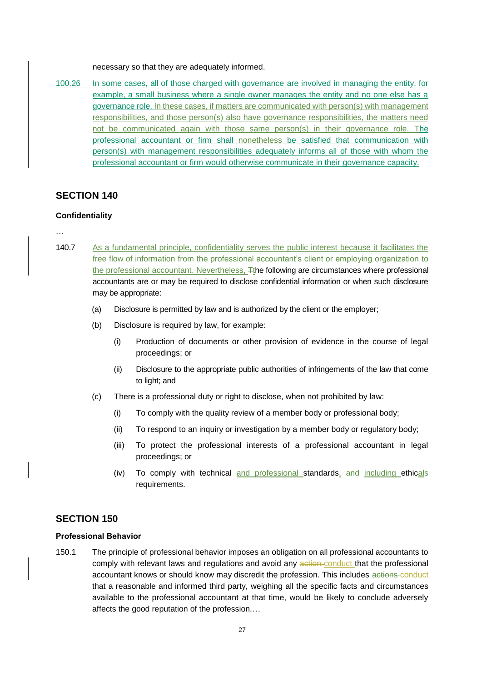necessary so that they are adequately informed.

100.26 In some cases, all of those charged with governance are involved in managing the entity, for example, a small business where a single owner manages the entity and no one else has a governance role. In these cases, if matters are communicated with person(s) with management responsibilities, and those person(s) also have governance responsibilities, the matters need not be communicated again with those same person(s) in their governance role. The professional accountant or firm shall nonetheless be satisfied that communication with person(s) with management responsibilities adequately informs all of those with whom the professional accountant or firm would otherwise communicate in their governance capacity.

## **SECTION 140**

#### **Confidentiality**

…

- 140.7 As a fundamental principle, confidentiality serves the public interest because it facilitates the free flow of information from the professional accountant's client or employing organization to the professional accountant. Nevertheless,  $\mp$ the following are circumstances where professional accountants are or may be required to disclose confidential information or when such disclosure may be appropriate:
	- (a) Disclosure is permitted by law and is authorized by the client or the employer;
	- (b) Disclosure is required by law, for example:
		- (i) Production of documents or other provision of evidence in the course of legal proceedings; or
		- (ii) Disclosure to the appropriate public authorities of infringements of the law that come to light; and
	- (c) There is a professional duty or right to disclose, when not prohibited by law:
		- (i) To comply with the quality review of a member body or professional body;
		- (ii) To respond to an inquiry or investigation by a member body or regulatory body;
		- (iii) To protect the professional interests of a professional accountant in legal proceedings; or
		- (iv) To comply with technical and professional standards, and including ethicals requirements.

## **SECTION 150**

## **Professional Behavior**

150.1 The principle of professional behavior imposes an obligation on all professional accountants to comply with relevant laws and regulations and avoid any action conduct that the professional accountant knows or should know may discredit the profession. This includes actions-conduct that a reasonable and informed third party, weighing all the specific facts and circumstances available to the professional accountant at that time, would be likely to conclude adversely affects the good reputation of the profession.…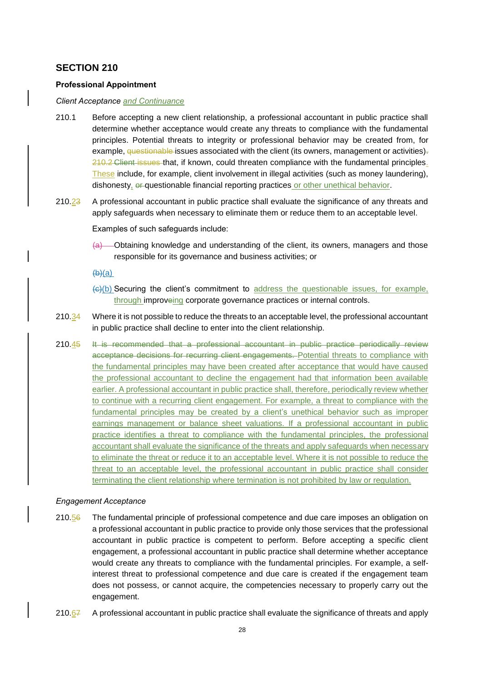## **SECTION 210**

## **Professional Appointment**

#### *Client Acceptance and Continuance*

- 210.1 Before accepting a new client relationship, a professional accountant in public practice shall determine whether acceptance would create any threats to compliance with the fundamental principles. Potential threats to integrity or professional behavior may be created from, for example, questionable issues associated with the client (its owners, management or activities). 210.2 Client issues that, if known, could threaten compliance with the fundamental principles. These include, for example, client involvement in illegal activities (such as money laundering), dishonesty, or questionable financial reporting practices or other unethical behavior.
- 210.23 A professional accountant in public practice shall evaluate the significance of any threats and apply safeguards when necessary to eliminate them or reduce them to an acceptable level.

Examples of such safeguards include:

(a) Obtaining knowledge and understanding of the client, its owners, managers and those responsible for its governance and business activities; or

 $\theta$ (a)

- $\left\langle \Theta_{0}(b)\right\rangle$  Securing the client's commitment to address the questionable issues, for example, through improveing corporate governance practices or internal controls.
- 210.34 Where it is not possible to reduce the threats to an acceptable level, the professional accountant in public practice shall decline to enter into the client relationship.
- 210.45 It is recommended that a professional accountant in public practice periodically review acceptance decisions for recurring client engagements. Potential threats to compliance with the fundamental principles may have been created after acceptance that would have caused the professional accountant to decline the engagement had that information been available earlier. A professional accountant in public practice shall, therefore, periodically review whether to continue with a recurring client engagement. For example, a threat to compliance with the fundamental principles may be created by a client's unethical behavior such as improper earnings management or balance sheet valuations. If a professional accountant in public practice identifies a threat to compliance with the fundamental principles, the professional accountant shall evaluate the significance of the threats and apply safeguards when necessary to eliminate the threat or reduce it to an acceptable level. Where it is not possible to reduce the threat to an acceptable level, the professional accountant in public practice shall consider terminating the client relationship where termination is not prohibited by law or regulation.

## *Engagement Acceptance*

- 210.56 The fundamental principle of professional competence and due care imposes an obligation on a professional accountant in public practice to provide only those services that the professional accountant in public practice is competent to perform. Before accepting a specific client engagement, a professional accountant in public practice shall determine whether acceptance would create any threats to compliance with the fundamental principles. For example, a selfinterest threat to professional competence and due care is created if the engagement team does not possess, or cannot acquire, the competencies necessary to properly carry out the engagement.
- 210.67 A professional accountant in public practice shall evaluate the significance of threats and apply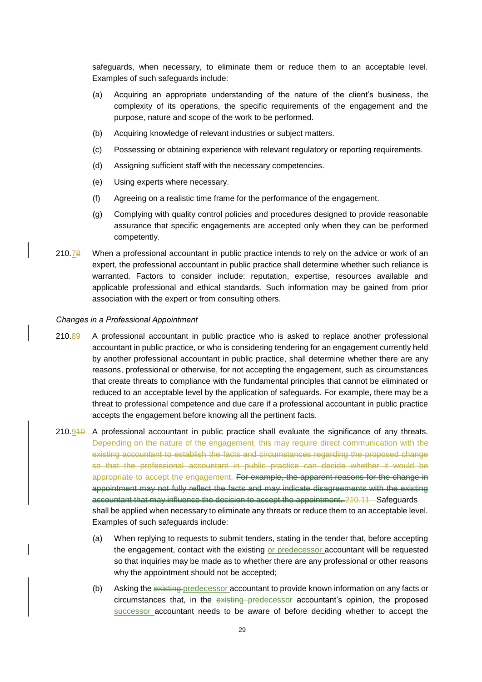safeguards, when necessary, to eliminate them or reduce them to an acceptable level. Examples of such safeguards include:

- (a) Acquiring an appropriate understanding of the nature of the client's business, the complexity of its operations, the specific requirements of the engagement and the purpose, nature and scope of the work to be performed.
- (b) Acquiring knowledge of relevant industries or subject matters.
- (c) Possessing or obtaining experience with relevant regulatory or reporting requirements.
- (d) Assigning sufficient staff with the necessary competencies.
- (e) Using experts where necessary.
- (f) Agreeing on a realistic time frame for the performance of the engagement.
- (g) Complying with quality control policies and procedures designed to provide reasonable assurance that specific engagements are accepted only when they can be performed competently.
- 210.78 When a professional accountant in public practice intends to rely on the advice or work of an expert, the professional accountant in public practice shall determine whether such reliance is warranted. Factors to consider include: reputation, expertise, resources available and applicable professional and ethical standards. Such information may be gained from prior association with the expert or from consulting others.

#### *Changes in a Professional Appointment*

- $210.89$  A professional accountant in public practice who is asked to replace another professional accountant in public practice, or who is considering tendering for an engagement currently held by another professional accountant in public practice, shall determine whether there are any reasons, professional or otherwise, for not accepting the engagement, such as circumstances that create threats to compliance with the fundamental principles that cannot be eliminated or reduced to an acceptable level by the application of safeguards. For example, there may be a threat to professional competence and due care if a professional accountant in public practice accepts the engagement before knowing all the pertinent facts.
- 210.940 A professional accountant in public practice shall evaluate the significance of any threats. Depending on the nature of the engagement, this may require direct communication with the existing accountant to establish the facts and circumstances regarding the proposed change so that the professional accountant in public practice can decide whether it would be appropriate to accept the engagement. For example, the apparent reasons for the change in appointment may not fully reflect the facts and may indicate disagreements with the existing accountant that may influence the decision to accept the appointment. 210.11 Safeguards shall be applied when necessary to eliminate any threats or reduce them to an acceptable level. Examples of such safeguards include:
	- (a) When replying to requests to submit tenders, stating in the tender that, before accepting the engagement, contact with the existing or predecessor accountant will be requested so that inquiries may be made as to whether there are any professional or other reasons why the appointment should not be accepted;
	- (b) Asking the existing predecessor accountant to provide known information on any facts or circumstances that, in the existing predecessor accountant's opinion, the proposed successor accountant needs to be aware of before deciding whether to accept the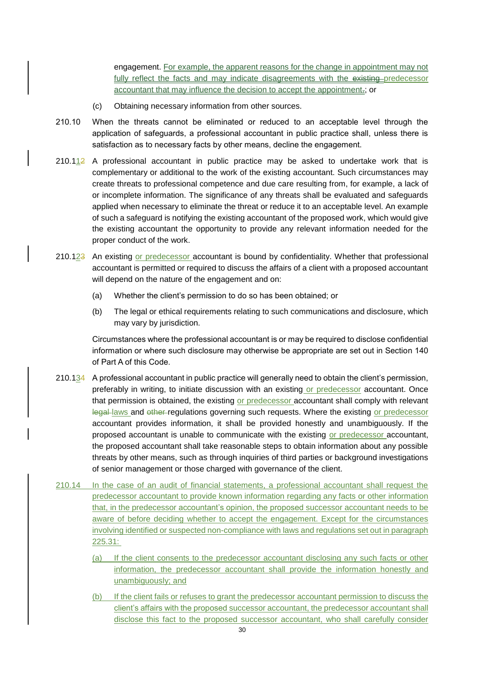engagement. For example, the apparent reasons for the change in appointment may not fully reflect the facts and may indicate disagreements with the existing predecessor accountant that may influence the decision to accept the appointment.; or

- (c) Obtaining necessary information from other sources.
- 210.10 When the threats cannot be eliminated or reduced to an acceptable level through the application of safeguards, a professional accountant in public practice shall, unless there is satisfaction as to necessary facts by other means, decline the engagement.
- $210.112$  A professional accountant in public practice may be asked to undertake work that is complementary or additional to the work of the existing accountant. Such circumstances may create threats to professional competence and due care resulting from, for example, a lack of or incomplete information. The significance of any threats shall be evaluated and safeguards applied when necessary to eliminate the threat or reduce it to an acceptable level. An example of such a safeguard is notifying the existing accountant of the proposed work, which would give the existing accountant the opportunity to provide any relevant information needed for the proper conduct of the work.
- 210.123 An existing or predecessor accountant is bound by confidentiality. Whether that professional accountant is permitted or required to discuss the affairs of a client with a proposed accountant will depend on the nature of the engagement and on:
	- (a) Whether the client's permission to do so has been obtained; or
	- (b) The legal or ethical requirements relating to such communications and disclosure, which may vary by jurisdiction.

Circumstances where the professional accountant is or may be required to disclose confidential information or where such disclosure may otherwise be appropriate are set out in Section 140 of Part A of this Code.

- 210.134 A professional accountant in public practice will generally need to obtain the client's permission, preferably in writing, to initiate discussion with an existing or predecessor accountant. Once that permission is obtained, the existing or predecessor accountant shall comply with relevant legal laws and other regulations governing such requests. Where the existing or predecessor accountant provides information, it shall be provided honestly and unambiguously. If the proposed accountant is unable to communicate with the existing or predecessor accountant, the proposed accountant shall take reasonable steps to obtain information about any possible threats by other means, such as through inquiries of third parties or background investigations of senior management or those charged with governance of the client.
- 210.14 In the case of an audit of financial statements, a professional accountant shall request the predecessor accountant to provide known information regarding any facts or other information that, in the predecessor accountant's opinion, the proposed successor accountant needs to be aware of before deciding whether to accept the engagement. Except for the circumstances involving identified or suspected non-compliance with laws and regulations set out in paragraph 225.31:
	- (a) If the client consents to the predecessor accountant disclosing any such facts or other information, the predecessor accountant shall provide the information honestly and unambiguously; and
	- (b) If the client fails or refuses to grant the predecessor accountant permission to discuss the client's affairs with the proposed successor accountant, the predecessor accountant shall disclose this fact to the proposed successor accountant, who shall carefully consider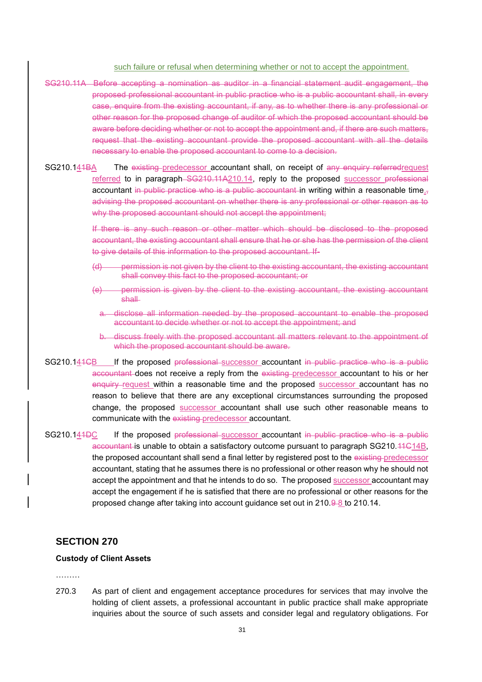such failure or refusal when determining whether or not to accept the appointment.

- SG210.11A Before accepting a nomination as auditor in a financial statement audit engagement, the proposed professional accountant in public practice who is a public accountant shall, in every case, enquire from the existing accountant, if any, as to whether there is any professional or other reason for the proposed change of auditor of which the proposed accountant should be aware before deciding whether or not to accept the appointment and, if there are such matters, request that the existing accountant provide the proposed accountant with all the details necessary to enable the proposed accountant to come to a decision.
- SG210.144BA The existing predecessor accountant shall, on receipt of any enquiry referredrequest referred to in paragraph SG210.11A210.14, reply to the proposed successor professional accountant in public practice who is a public accountant in writing within a reasonable time. $_1$ advising the proposed accountant on whether there is any professional or other reason as to why the proposed accountant should not accept the appointment;

If there is any such reason or other matter which should be disclosed to the proposed accountant, the existing accountant shall ensure that he or she has the permission of the client to give details of this information to the proposed accountant. If-

- (d) permission is not given by the client to the existing accountant, the existing accountant shall convey this fact to the proposed accountant; or
- (e) permission is given by the client to the existing accountant, the existing accountant shall
	- a. disclose all information needed by the proposed accountant to enable the proposed accountant to decide whether or not to accept the appointment; and
	- b. discuss freely with the proposed accountant all matters relevant to the appointment of which the proposed accountant should be aware.
- SG210.144CB If the proposed professional successor accountant in public practice who is a public accountant does not receive a reply from the existing predecessor accountant to his or her enquiry request within a reasonable time and the proposed successor accountant has no reason to believe that there are any exceptional circumstances surrounding the proposed change, the proposed successor accountant shall use such other reasonable means to communicate with the existing predecessor accountant.
- SG210.144DC If the proposed professional successor accountant in public practice who is a public accountant is unable to obtain a satisfactory outcome pursuant to paragraph SG210.44C14B, the proposed accountant shall send a final letter by registered post to the existing predecessor accountant, stating that he assumes there is no professional or other reason why he should not accept the appointment and that he intends to do so. The proposed successor accountant may accept the engagement if he is satisfied that there are no professional or other reasons for the proposed change after taking into account guidance set out in 210.9-8 to 210.14.

## **SECTION 270**

#### **Custody of Client Assets**

…………

270.3 As part of client and engagement acceptance procedures for services that may involve the holding of client assets, a professional accountant in public practice shall make appropriate inquiries about the source of such assets and consider legal and regulatory obligations. For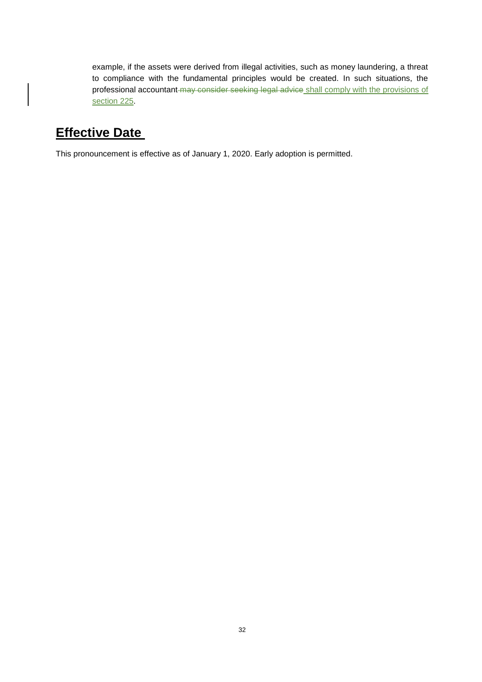example, if the assets were derived from illegal activities, such as money laundering, a threat to compliance with the fundamental principles would be created. In such situations, the professional accountant may consider seeking legal advice shall comply with the provisions of section 225.

## **Effective Date**

This pronouncement is effective as of January 1, 2020. Early adoption is permitted.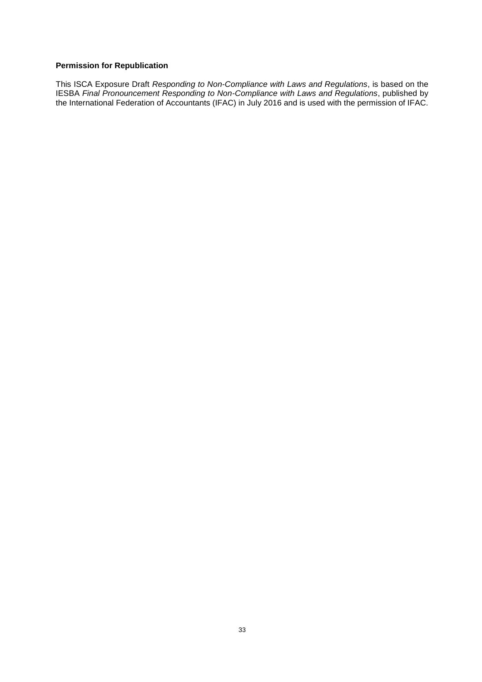#### **Permission for Republication**

This ISCA Exposure Draft *Responding to Non-Compliance with Laws and Regulations*, is based on the IESBA *Final Pronouncement Responding to Non-Compliance with Laws and Regulations*, published by the International Federation of Accountants (IFAC) in July 2016 and is used with the permission of IFAC.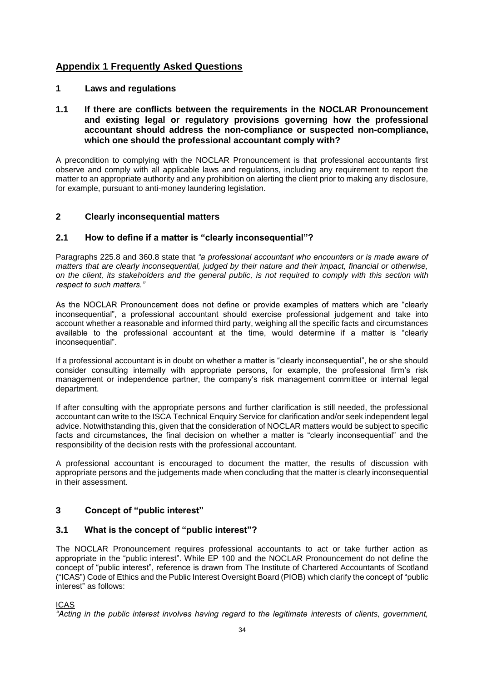## **Appendix 1 Frequently Asked Questions**

## **1 Laws and regulations**

## **1.1 If there are conflicts between the requirements in the NOCLAR Pronouncement and existing legal or regulatory provisions governing how the professional accountant should address the non-compliance or suspected non-compliance, which one should the professional accountant comply with?**

A precondition to complying with the NOCLAR Pronouncement is that professional accountants first observe and comply with all applicable laws and regulations, including any requirement to report the matter to an appropriate authority and any prohibition on alerting the client prior to making any disclosure, for example, pursuant to anti-money laundering legislation.

## **2 Clearly inconsequential matters**

## **2.1 How to define if a matter is "clearly inconsequential"?**

Paragraphs 225.8 and 360.8 state that *"a professional accountant who encounters or is made aware of matters that are clearly inconsequential, judged by their nature and their impact, financial or otherwise, on the client, its stakeholders and the general public, is not required to comply with this section with respect to such matters."*

As the NOCLAR Pronouncement does not define or provide examples of matters which are "clearly inconsequential", a professional accountant should exercise professional judgement and take into account whether a reasonable and informed third party, weighing all the specific facts and circumstances available to the professional accountant at the time, would determine if a matter is "clearly inconsequential".

If a professional accountant is in doubt on whether a matter is "clearly inconsequential", he or she should consider consulting internally with appropriate persons, for example, the professional firm's risk management or independence partner, the company's risk management committee or internal legal department.

If after consulting with the appropriate persons and further clarification is still needed, the professional accountant can write to the ISCA Technical Enquiry Service for clarification and/or seek independent legal advice. Notwithstanding this, given that the consideration of NOCLAR matters would be subject to specific facts and circumstances, the final decision on whether a matter is "clearly inconsequential" and the responsibility of the decision rests with the professional accountant.

A professional accountant is encouraged to document the matter, the results of discussion with appropriate persons and the judgements made when concluding that the matter is clearly inconsequential in their assessment.

## **3 Concept of "public interest"**

## **3.1 What is the concept of "public interest"?**

The NOCLAR Pronouncement requires professional accountants to act or take further action as appropriate in the "public interest". While EP 100 and the NOCLAR Pronouncement do not define the concept of "public interest", reference is drawn from The Institute of Chartered Accountants of Scotland ("ICAS") Code of Ethics and the Public Interest Oversight Board (PIOB) which clarify the concept of "public interest" as follows:

ICAS

*"Acting in the public interest involves having regard to the legitimate interests of clients, government,*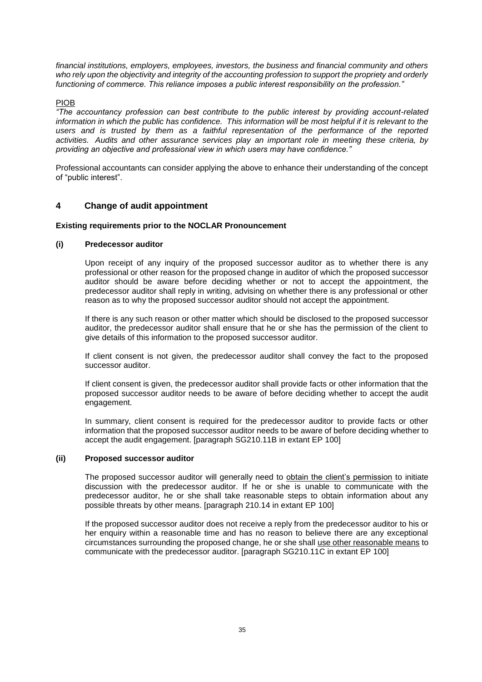*financial institutions, employers, employees, investors, the business and financial community and others who rely upon the objectivity and integrity of the accounting profession to support the propriety and orderly functioning of commerce. This reliance imposes a public interest responsibility on the profession."*

#### PIOB

*"The accountancy profession can best contribute to the public interest by providing account-related information in which the public has confidence. This information will be most helpful if it is relevant to the users and is trusted by them as a faithful representation of the performance of the reported activities. Audits and other assurance services play an important role in meeting these criteria, by providing an objective and professional view in which users may have confidence."*

Professional accountants can consider applying the above to enhance their understanding of the concept of "public interest".

## **4 Change of audit appointment**

#### **Existing requirements prior to the NOCLAR Pronouncement**

### **(i) Predecessor auditor**

Upon receipt of any inquiry of the proposed successor auditor as to whether there is any professional or other reason for the proposed change in auditor of which the proposed successor auditor should be aware before deciding whether or not to accept the appointment, the predecessor auditor shall reply in writing, advising on whether there is any professional or other reason as to why the proposed successor auditor should not accept the appointment.

If there is any such reason or other matter which should be disclosed to the proposed successor auditor, the predecessor auditor shall ensure that he or she has the permission of the client to give details of this information to the proposed successor auditor.

If client consent is not given, the predecessor auditor shall convey the fact to the proposed successor auditor.

If client consent is given, the predecessor auditor shall provide facts or other information that the proposed successor auditor needs to be aware of before deciding whether to accept the audit engagement.

In summary, client consent is required for the predecessor auditor to provide facts or other information that the proposed successor auditor needs to be aware of before deciding whether to accept the audit engagement. [paragraph SG210.11B in extant EP 100]

#### **(ii) Proposed successor auditor**

The proposed successor auditor will generally need to obtain the client's permission to initiate discussion with the predecessor auditor. If he or she is unable to communicate with the predecessor auditor, he or she shall take reasonable steps to obtain information about any possible threats by other means. [paragraph 210.14 in extant EP 100]

If the proposed successor auditor does not receive a reply from the predecessor auditor to his or her enquiry within a reasonable time and has no reason to believe there are any exceptional circumstances surrounding the proposed change, he or she shall use other reasonable means to communicate with the predecessor auditor. [paragraph SG210.11C in extant EP 100]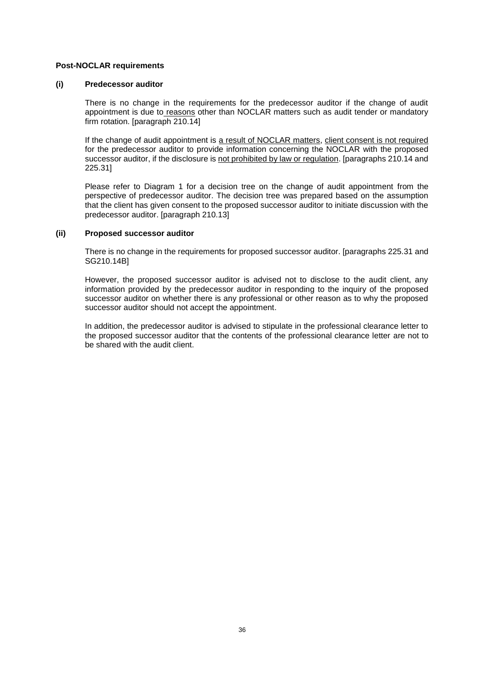#### **Post-NOCLAR requirements**

#### **(i) Predecessor auditor**

There is no change in the requirements for the predecessor auditor if the change of audit appointment is due to reasons other than NOCLAR matters such as audit tender or mandatory firm rotation. [paragraph 210.14]

If the change of audit appointment is a result of NOCLAR matters, client consent is not required for the predecessor auditor to provide information concerning the NOCLAR with the proposed successor auditor, if the disclosure is not prohibited by law or regulation. [paragraphs 210.14 and 225.31]

Please refer to Diagram 1 for a decision tree on the change of audit appointment from the perspective of predecessor auditor. The decision tree was prepared based on the assumption that the client has given consent to the proposed successor auditor to initiate discussion with the predecessor auditor. [paragraph 210.13]

#### **(ii) Proposed successor auditor**

There is no change in the requirements for proposed successor auditor. [paragraphs 225.31 and SG210.14B]

However, the proposed successor auditor is advised not to disclose to the audit client, any information provided by the predecessor auditor in responding to the inquiry of the proposed successor auditor on whether there is any professional or other reason as to why the proposed successor auditor should not accept the appointment.

In addition, the predecessor auditor is advised to stipulate in the professional clearance letter to the proposed successor auditor that the contents of the professional clearance letter are not to be shared with the audit client.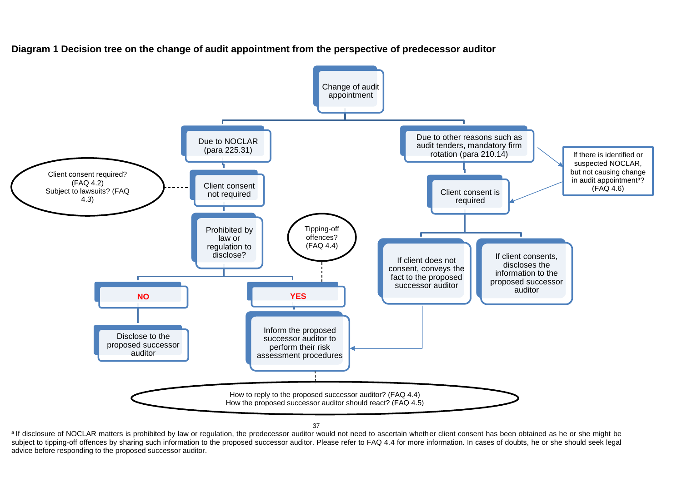

**Diagram 1 Decision tree on the change of audit appointment from the perspective of predecessor auditor**

a If disclosure of NOCLAR matters is prohibited by law or regulation, the predecessor auditor would not need to ascertain whether client consent has been obtained as he or she might be subject to tipping-off offences by sharing such information to the proposed successor auditor. Please refer to FAQ 4.4 for more information. In cases of doubts, he or she should seek legal advice before responding to the proposed successor auditor.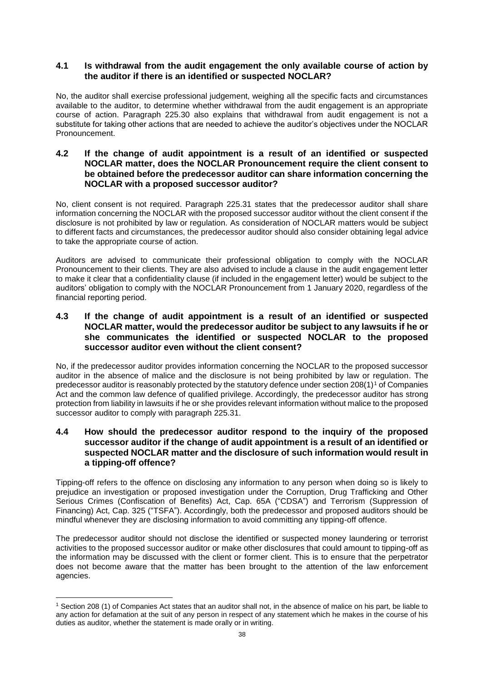## **4.1 Is withdrawal from the audit engagement the only available course of action by the auditor if there is an identified or suspected NOCLAR?**

No, the auditor shall exercise professional judgement, weighing all the specific facts and circumstances available to the auditor, to determine whether withdrawal from the audit engagement is an appropriate course of action. Paragraph 225.30 also explains that withdrawal from audit engagement is not a substitute for taking other actions that are needed to achieve the auditor's objectives under the NOCLAR **Pronouncement** 

## **4.2 If the change of audit appointment is a result of an identified or suspected NOCLAR matter, does the NOCLAR Pronouncement require the client consent to be obtained before the predecessor auditor can share information concerning the NOCLAR with a proposed successor auditor?**

No, client consent is not required. Paragraph 225.31 states that the predecessor auditor shall share information concerning the NOCLAR with the proposed successor auditor without the client consent if the disclosure is not prohibited by law or regulation. As consideration of NOCLAR matters would be subject to different facts and circumstances, the predecessor auditor should also consider obtaining legal advice to take the appropriate course of action.

Auditors are advised to communicate their professional obligation to comply with the NOCLAR Pronouncement to their clients. They are also advised to include a clause in the audit engagement letter to make it clear that a confidentiality clause (if included in the engagement letter) would be subject to the auditors' obligation to comply with the NOCLAR Pronouncement from 1 January 2020, regardless of the financial reporting period.

## **4.3 If the change of audit appointment is a result of an identified or suspected NOCLAR matter, would the predecessor auditor be subject to any lawsuits if he or she communicates the identified or suspected NOCLAR to the proposed successor auditor even without the client consent?**

No, if the predecessor auditor provides information concerning the NOCLAR to the proposed successor auditor in the absence of malice and the disclosure is not being prohibited by law or regulation. The predecessor auditor is reasonably protected by the statutory defence under section  $208(1)^1$  of Companies Act and the common law defence of qualified privilege. Accordingly, the predecessor auditor has strong protection from liability in lawsuits if he or she provides relevant information without malice to the proposed successor auditor to comply with paragraph 225.31.

## **4.4 How should the predecessor auditor respond to the inquiry of the proposed successor auditor if the change of audit appointment is a result of an identified or suspected NOCLAR matter and the disclosure of such information would result in a tipping-off offence?**

Tipping-off refers to the offence on disclosing any information to any person when doing so is likely to prejudice an investigation or proposed investigation under the Corruption, Drug Trafficking and Other Serious Crimes (Confiscation of Benefits) Act, Cap. 65A ("CDSA") and Terrorism (Suppression of Financing) Act, Cap. 325 ("TSFA"). Accordingly, both the predecessor and proposed auditors should be mindful whenever they are disclosing information to avoid committing any tipping-off offence.

The predecessor auditor should not disclose the identified or suspected money laundering or terrorist activities to the proposed successor auditor or make other disclosures that could amount to tipping-off as the information may be discussed with the client or former client. This is to ensure that the perpetrator does not become aware that the matter has been brought to the attention of the law enforcement agencies.

 $\overline{a}$ 

<sup>1</sup> Section 208 (1) of Companies Act states that an auditor shall not, in the absence of malice on his part, be liable to any action for defamation at the suit of any person in respect of any statement which he makes in the course of his duties as auditor, whether the statement is made orally or in writing.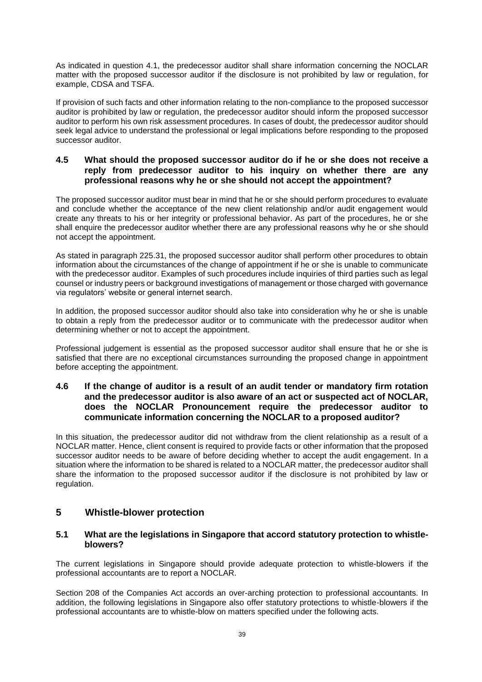As indicated in question 4.1, the predecessor auditor shall share information concerning the NOCLAR matter with the proposed successor auditor if the disclosure is not prohibited by law or regulation, for example, CDSA and TSFA.

If provision of such facts and other information relating to the non-compliance to the proposed successor auditor is prohibited by law or regulation, the predecessor auditor should inform the proposed successor auditor to perform his own risk assessment procedures. In cases of doubt, the predecessor auditor should seek legal advice to understand the professional or legal implications before responding to the proposed successor auditor.

## **4.5 What should the proposed successor auditor do if he or she does not receive a reply from predecessor auditor to his inquiry on whether there are any professional reasons why he or she should not accept the appointment?**

The proposed successor auditor must bear in mind that he or she should perform procedures to evaluate and conclude whether the acceptance of the new client relationship and/or audit engagement would create any threats to his or her integrity or professional behavior. As part of the procedures, he or she shall enquire the predecessor auditor whether there are any professional reasons why he or she should not accept the appointment.

As stated in paragraph 225.31, the proposed successor auditor shall perform other procedures to obtain information about the circumstances of the change of appointment if he or she is unable to communicate with the predecessor auditor. Examples of such procedures include inquiries of third parties such as legal counsel or industry peers or background investigations of management or those charged with governance via regulators' website or general internet search.

In addition, the proposed successor auditor should also take into consideration why he or she is unable to obtain a reply from the predecessor auditor or to communicate with the predecessor auditor when determining whether or not to accept the appointment.

Professional judgement is essential as the proposed successor auditor shall ensure that he or she is satisfied that there are no exceptional circumstances surrounding the proposed change in appointment before accepting the appointment.

## **4.6 If the change of auditor is a result of an audit tender or mandatory firm rotation and the predecessor auditor is also aware of an act or suspected act of NOCLAR, does the NOCLAR Pronouncement require the predecessor auditor to communicate information concerning the NOCLAR to a proposed auditor?**

In this situation, the predecessor auditor did not withdraw from the client relationship as a result of a NOCLAR matter. Hence, client consent is required to provide facts or other information that the proposed successor auditor needs to be aware of before deciding whether to accept the audit engagement. In a situation where the information to be shared is related to a NOCLAR matter, the predecessor auditor shall share the information to the proposed successor auditor if the disclosure is not prohibited by law or regulation.

## **5 Whistle-blower protection**

## **5.1 What are the legislations in Singapore that accord statutory protection to whistleblowers?**

The current legislations in Singapore should provide adequate protection to whistle-blowers if the professional accountants are to report a NOCLAR.

Section 208 of the Companies Act accords an over-arching protection to professional accountants. In addition, the following legislations in Singapore also offer statutory protections to whistle-blowers if the professional accountants are to whistle-blow on matters specified under the following acts.